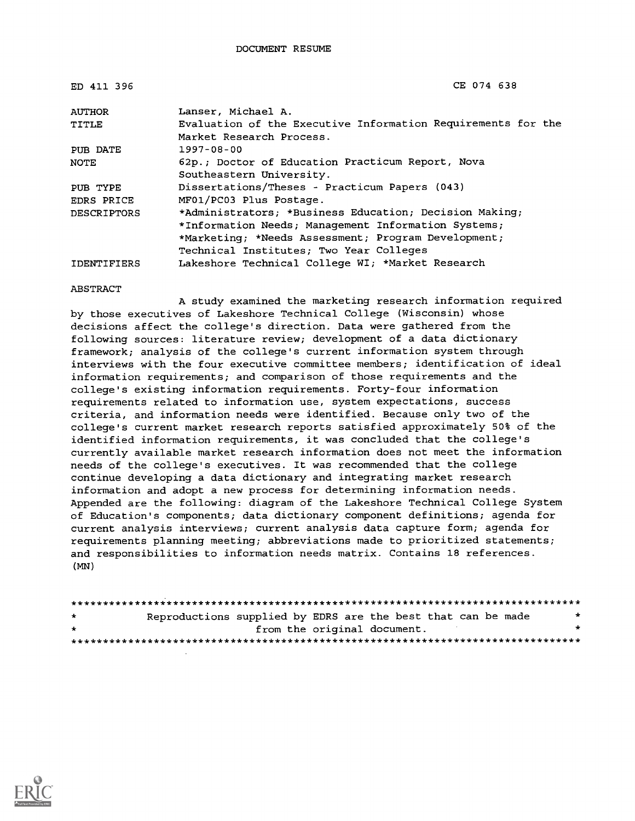| ED 411 396         | CE 074 638                                                   |  |  |
|--------------------|--------------------------------------------------------------|--|--|
| <b>AUTHOR</b>      | Lanser, Michael A.                                           |  |  |
| TITLE              | Evaluation of the Executive Information Requirements for the |  |  |
|                    | Market Research Process.                                     |  |  |
| PUB DATE           | 1997-08-00                                                   |  |  |
| <b>NOTE</b>        | 62p.; Doctor of Education Practicum Report, Nova             |  |  |
|                    | Southeastern University.                                     |  |  |
| PUB TYPE           | Dissertations/Theses - Practicum Papers (043)                |  |  |
| <b>EDRS PRICE</b>  | MF01/PC03 Plus Postage.                                      |  |  |
| <b>DESCRIPTORS</b> | *Administrators; *Business Education; Decision Making;       |  |  |
|                    | *Information Needs; Management Information Systems;          |  |  |
|                    | *Marketing; *Needs Assessment; Program Development;          |  |  |
|                    | Technical Institutes; Two Year Colleges                      |  |  |
| <b>IDENTIFIERS</b> | Lakeshore Technical College WI; *Market Research             |  |  |

#### ABSTRACT

A study examined the marketing research information required by those executives of Lakeshore Technical College (Wisconsin) whose decisions affect the college's direction. Data were gathered from the following sources: literature review; development of a data dictionary framework; analysis of the college's current information system through interviews with the four executive committee members; identification of ideal information requirements; and comparison of those requirements and the college's existing information requirements. Forty-four information requirements related to information use, system expectations, success criteria, and information needs were identified. Because only two of the college's current market research reports satisfied approximately 50% of the identified information requirements, it was concluded that the college's currently available market research information does not meet the information needs of the college's executives. It was recommended that the college continue developing a data dictionary and integrating market research information and adopt a new process for determining information needs. Appended are the following: diagram of the Lakeshore Technical College System of Education's components; data dictionary component definitions; agenda for current analysis interviews; current analysis data capture form; agenda for requirements planning meeting; abbreviations made to prioritized statements; and responsibilities to information needs matrix. Contains 18 references. (MN)

| $\star$ | Reproductions supplied by EDRS are the best that can be made |  | * |
|---------|--------------------------------------------------------------|--|---|
| $\star$ | from the original document.                                  |  |   |
|         |                                                              |  |   |

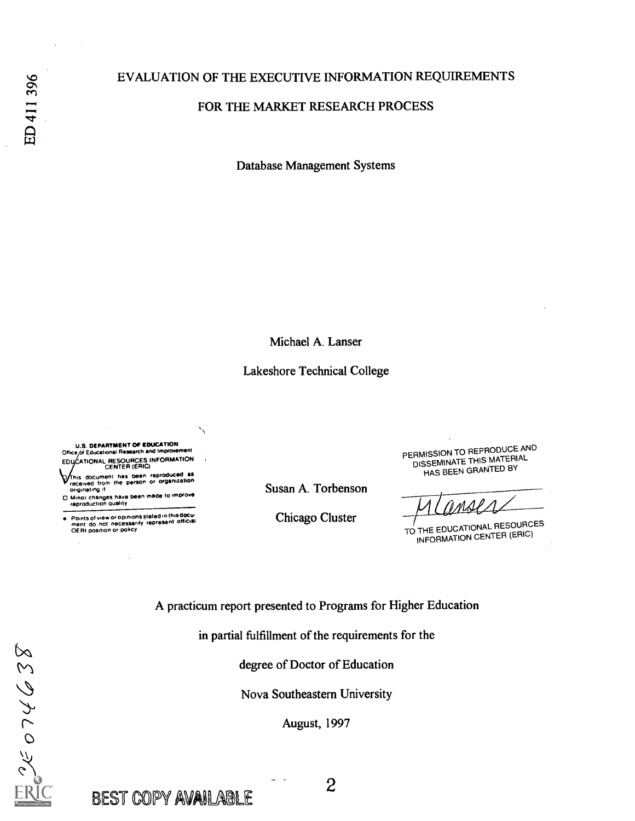## EVALUATION OF THE EXECUTIVE INFORMATION REQUIREMENTS

### FOR THE MARKET RESEARCH PROCESS

Database Management Systems

Michael A. Lanser

### Lakeshore Technical College

U.S. DEPARTMENT OF EDUCATION Office, of Educational Research and Improvement EDUCATIONAL RESOURCES INFORMATION

his document has been reproduced as received from the person or organization onginattng lt.

□ Minor changes have been made to improve<br>- reproduction quality

Points of view or opinions stated in this docu-<br>ment :do: not: necessarily represent: official<br>OERI position or policy

Susan A. Torbenson

Chicago Cluster

PERMISSION TO REPRODUCE AND DISSEMINATE THIS MATERIAL HAS BEEN GRANTED BY

TO THE EDUCATIONAL RESOURCES INFORMATION CENTER (ERIC)

A practicum report presented to Programs for Higher Education

in partial fulfillment of the requirements for the

degree of Doctor of Education

Nova Southeastern University

August, 1997

 $329402$ 

BEST COPY AVAILABLE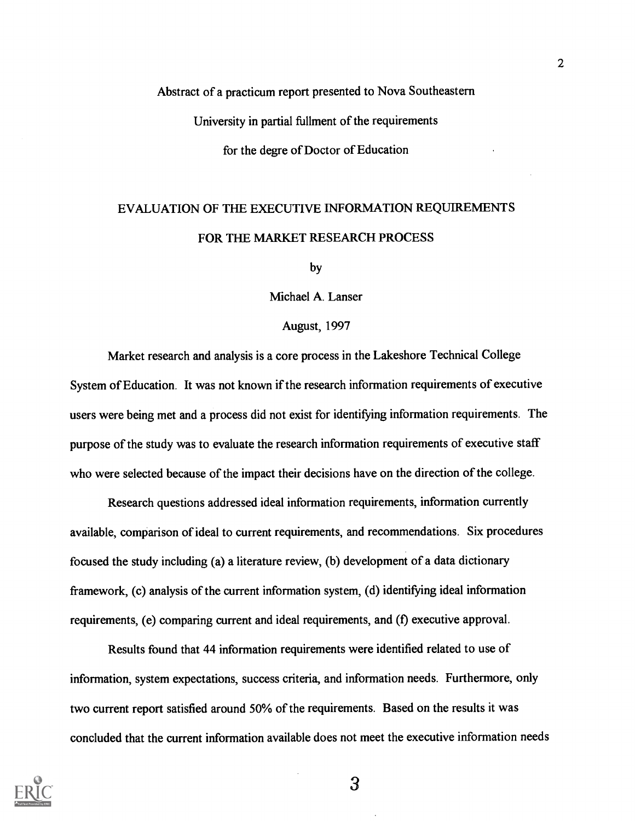## Abstract of a practicum report presented to Nova Southeastern

University in partial fullment of the requirements

for the degre of Doctor of Education

# EVALUATION OF THE EXECUTIVE INFORMATION REQUIREMENTS FOR THE MARKET RESEARCH PROCESS

by

Michael A. Lanser

### August, 1997

Market research and analysis is a core process in the Lakeshore Technical College System of Education. It was not known if the research information requirements of executive users were being met and a process did not exist for identifying information requirements. The purpose of the study was to evaluate the research information requirements of executive staff who were selected because of the impact their decisions have on the direction of the college.

Research questions addressed ideal information requirements, information currently available, comparison of ideal to current requirements, and recommendations. Six procedures focused the study including (a) a literature review, (b) development of a data dictionary framework, (c) analysis of the current information system, (d) identifying ideal information requirements, (e) comparing current and ideal requirements, and (f) executive approval.

Results found that 44 information requirements were identified related to use of information, system expectations, success criteria, and information needs. Furthermore, only two current report satisfied around 50% of the requirements. Based on the results it was concluded that the current information available does not meet the executive information needs



 $\overline{3}$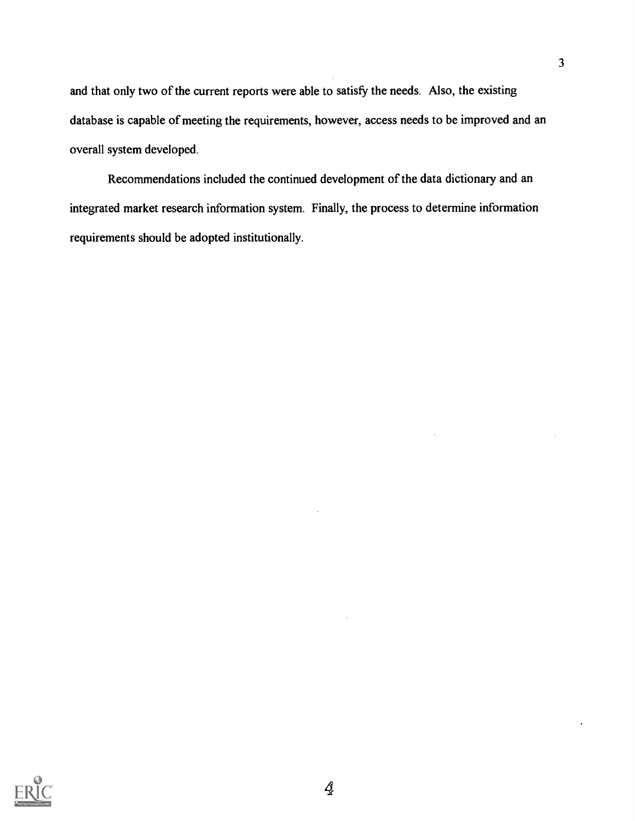and that only two of the current reports were able to satisfy the needs. Also, the existing database is capable of meeting the requirements, however, access needs to be improved and an overall system developed.

Recommendations included the continued development of the data dictionary and an integrated market research information system. Finally, the process to determine information requirements should be adopted institutionally.

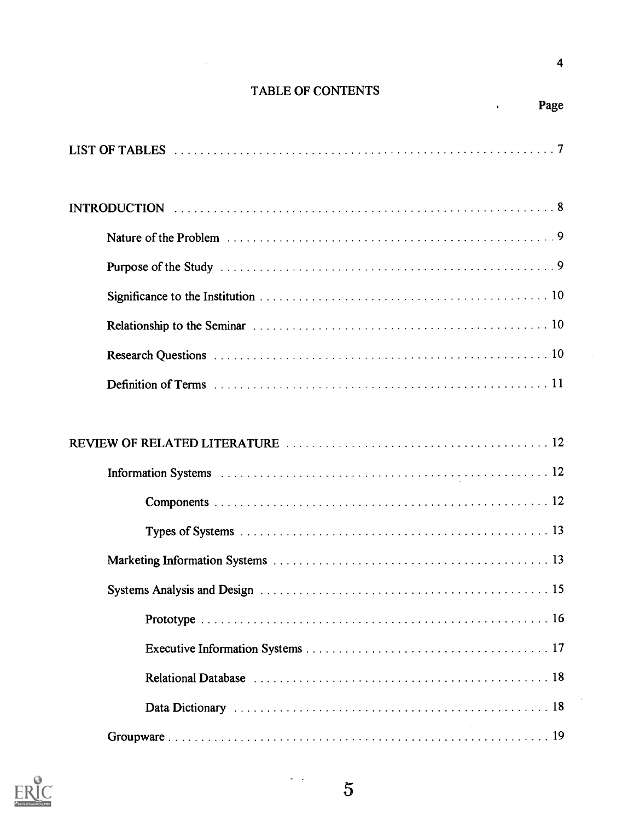## TABLE OF CONTENTS



Page

 $\hat{\mathbf{r}}$ 

 $\frac{1}{2}$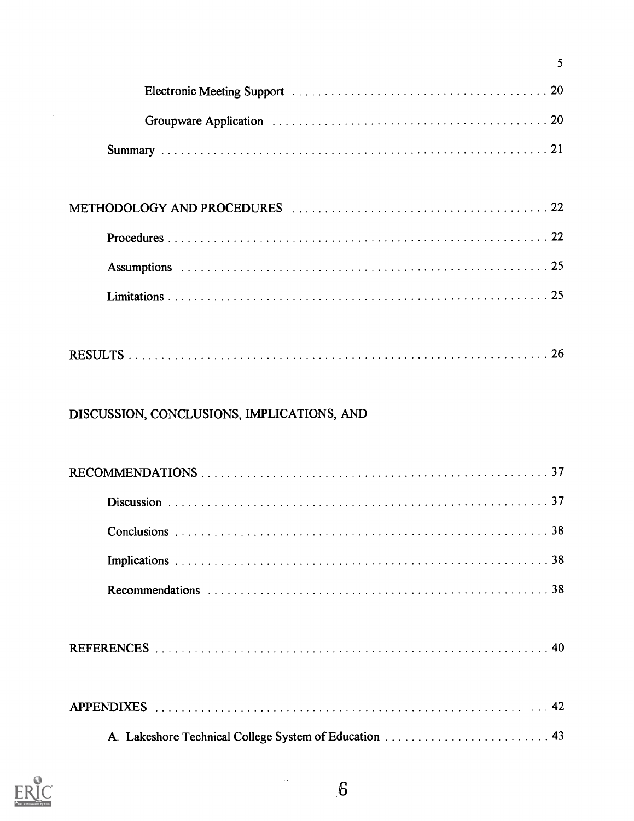| 5                                          |  |
|--------------------------------------------|--|
|                                            |  |
|                                            |  |
|                                            |  |
|                                            |  |
|                                            |  |
|                                            |  |
|                                            |  |
|                                            |  |
|                                            |  |
|                                            |  |
|                                            |  |
| DISCUSSION, CONCLUSIONS, IMPLICATIONS, AND |  |
|                                            |  |



 $\bar{\mathcal{A}}$ 

 $\frac{1}{\sqrt{2}}\frac{1}{\sqrt{2}}\frac{1}{\sqrt{2}}\frac{1}{\sqrt{2}}\frac{1}{\sqrt{2}}\frac{1}{\sqrt{2}}\frac{1}{\sqrt{2}}\frac{1}{\sqrt{2}}\frac{1}{\sqrt{2}}\frac{1}{\sqrt{2}}\frac{1}{\sqrt{2}}\frac{1}{\sqrt{2}}\frac{1}{\sqrt{2}}\frac{1}{\sqrt{2}}\frac{1}{\sqrt{2}}\frac{1}{\sqrt{2}}\frac{1}{\sqrt{2}}\frac{1}{\sqrt{2}}\frac{1}{\sqrt{2}}\frac{1}{\sqrt{2}}\frac{1}{\sqrt{2}}\frac{1}{\sqrt{2}}$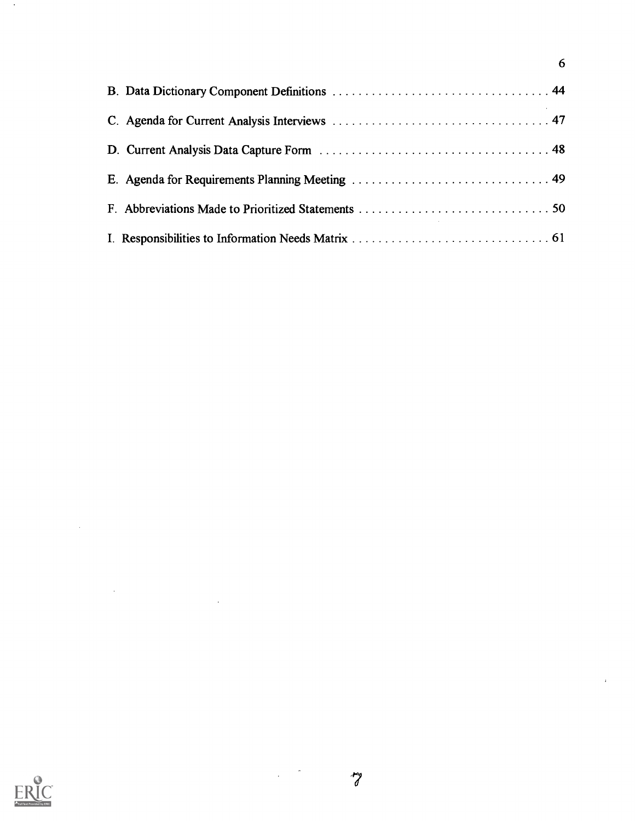6

 $\bar{\tau}$ 



 $\hat{\mathcal{A}}$ 

 $\hat{\mathcal{A}}$ 

 $\ddot{\cdot}$ 

 $\mathcal{A}$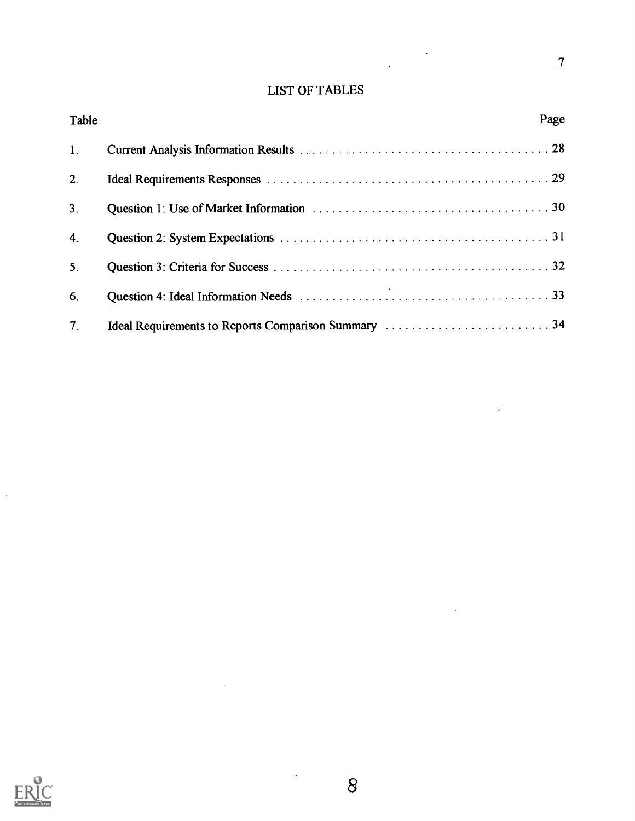## LIST OF TABLES

 $\mathcal{L}(\mathcal{F})$ 

 $\frac{1}{2}$ 

7

 $\mathbb{R}^3$ 

 $\ddot{\phantom{a}}$ 

| Table          | Page |
|----------------|------|
| 1.             |      |
| 2.             |      |
| 3 <sub>1</sub> |      |
| 4 <sub>1</sub> |      |
| 5 <sub>1</sub> |      |
| 6.             |      |
| 7 <sub>1</sub> |      |



 $\ddot{\phantom{0}}$ 

 $\ddot{\phantom{0}}$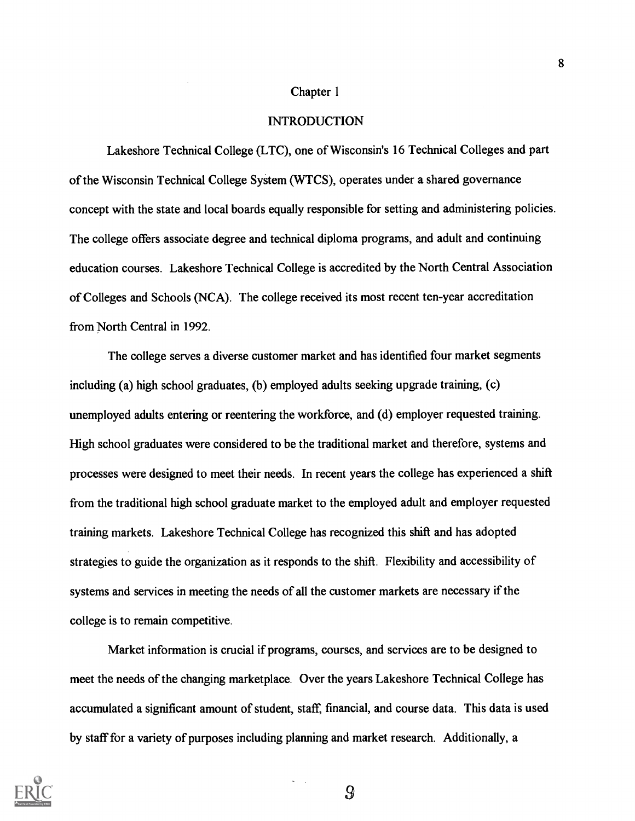#### Chapter 1

#### INTRODUCTION

Lakeshore Technical College (LTC), one of Wisconsin's 16 Technical Colleges and part of the Wisconsin Technical College System (WTCS), operates under a shared governance concept with the state and local boards equally responsible for setting and administering policies. The college offers associate degree and technical diploma programs, and adult and continuing education courses. Lakeshore Technical College is accredited by the North Central Association of Colleges and Schools (NCA). The college received its most recent ten-year accreditation from North Central in 1992.

The college serves a diverse customer market and has identified four market segments including (a) high school graduates, (b) employed adults seeking upgrade training, (c) unemployed adults entering or reentering the workforce, and (d) employer requested training. High school graduates were considered to be the traditional market and therefore, systems and processes were designed to meet their needs. In recent years the college has experienced a shift from the traditional high school graduate market to the employed adult and employer requested training markets. Lakeshore Technical College has recognized this shift and has adopted strategies to guide the organization as it responds to the shift. Flexibility and accessibility of systems and services in meeting the needs of all the customer markets are necessary if the college is to remain competitive.

Market information is crucial if programs, courses, and services are to be designed to meet the needs of the changing marketplace. Over the years Lakeshore Technical College has accumulated a significant amount of student, staff, financial, and course data. This data is used by staff for a variety of purposes including planning and market research. Additionally, a

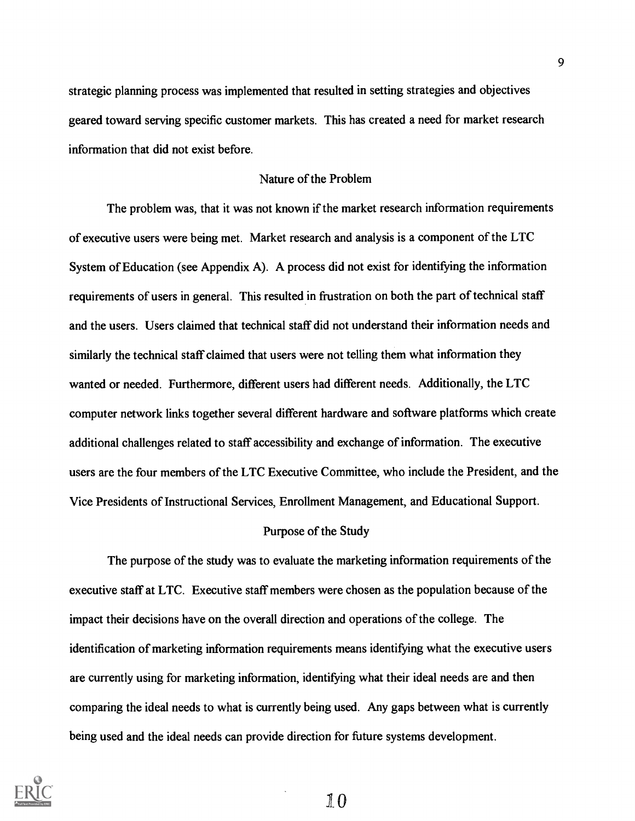strategic planning process was implemented that resulted in setting strategies and objectives geared toward serving specific customer markets. This has created a need for market research information that did not exist before.

### Nature of the Problem

The problem was, that it was not known if the market research information requirements of executive users were being met. Market research and analysis is a component of the LTC System of Education (see Appendix A). A process did not exist for identifying the information requirements of users in general. This resulted in frustration on both the part of technical staff and the users. Users claimed that technical staff did not understand their information needs and similarly the technical staff claimed that users were not telling them what information they wanted or needed. Furthermore, different users had different needs. Additionally, the LTC computer network links together several different hardware and software platforms which create additional challenges related to staff accessibility and exchange of information. The executive users are the four members of the LTC Executive Committee, who include the President, and the Vice Presidents of Instructional Services, Enrollment Management, and Educational Support.

#### Purpose of the Study

The purpose of the study was to evaluate the marketing information requirements of the executive staff at LTC. Executive staff members were chosen as the population because of the impact their decisions have on the overall direction and operations of the college. The identification of marketing information requirements means identifying what the executive users are currently using for marketing information, identifying what their ideal needs are and then comparing the ideal needs to what is currently being used. Any gaps between what is currently being used and the ideal needs can provide direction for future systems development.

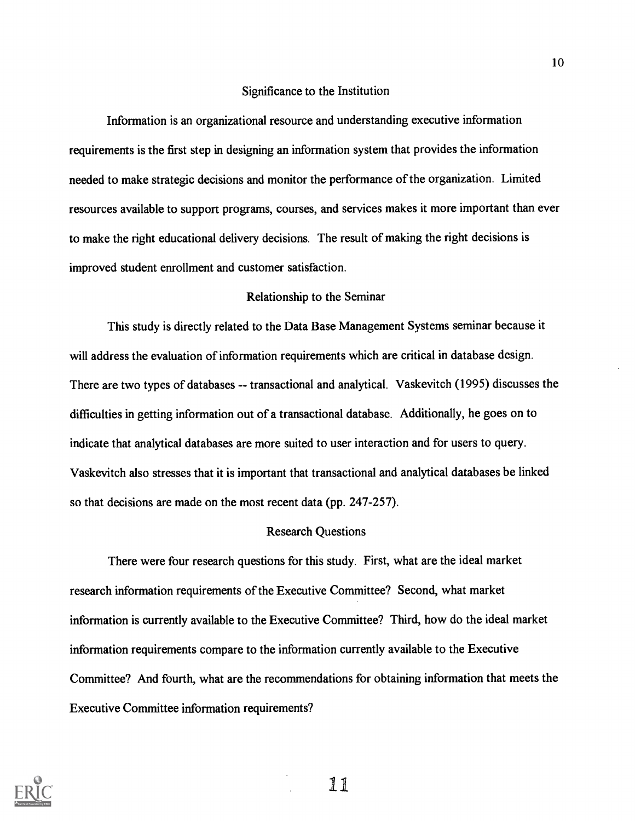### Significance to the Institution

Information is an organizational resource and understanding executive information requirements is the first step in designing an information system that provides the information needed to make strategic decisions and monitor the performance of the organization. Limited resources available to support programs, courses, and services makes it more important than ever to make the right educational delivery decisions. The result of making the right decisions is improved student enrollment and customer satisfaction.

### Relationship to the Seminar

This study is directly related to the Data Base Management Systems seminar because it will address the evaluation of information requirements which are critical in database design. There are two types of databases -- transactional and analytical. Vaskevitch (1995) discusses the difficulties in getting information out of a transactional database. Additionally, he goes on to indicate that analytical databases are more suited to user interaction and for users to query. Vaskevitch also stresses that it is important that transactional and analytical databases be linked so that decisions are made on the most recent data (pp. 247-257).

### Research Questions

There were four research questions for this study. First, what are the ideal market research information requirements of the Executive Committee? Second, what market information is currently available to the Executive Committee? Third, how do the ideal market information requirements compare to the information currently available to the Executive Committee? And fourth, what are the recommendations for obtaining information that meets the Executive Committee information requirements?



11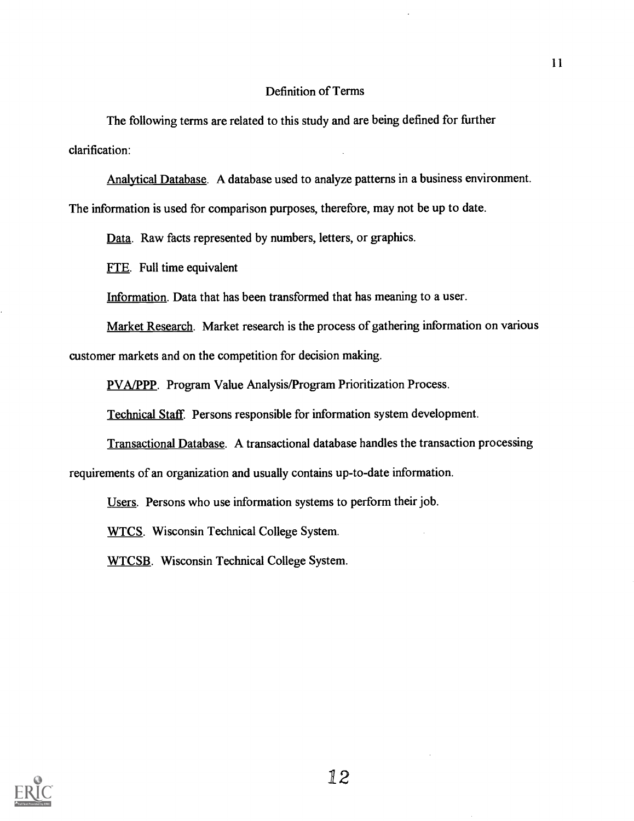### Definition of Terms

The following terms are related to this study and are being defined for further clarification:

Analytical Database. A database used to analyze patterns in a business environment.

The information is used for comparison purposes, therefore, may not be up to date.

Data. Raw facts represented by numbers, letters, or graphics.

FTE. Full time equivalent

Information. Data that has been transformed that has meaning to a user.

Market Research. Market research is the process of gathering information on various customer markets and on the competition for decision making.

PVA/PPP. Program Value Analysis/Program Prioritization Process.

Technical Staff. Persons responsible for information system development.

Transactional Database. A transactional database handles the transaction processing requirements of an organization and usually contains up-to-date information.

Users. Persons who use information systems to perform their job.

WTCS. Wisconsin Technical College System.

WTCSB. Wisconsin Technical College System.

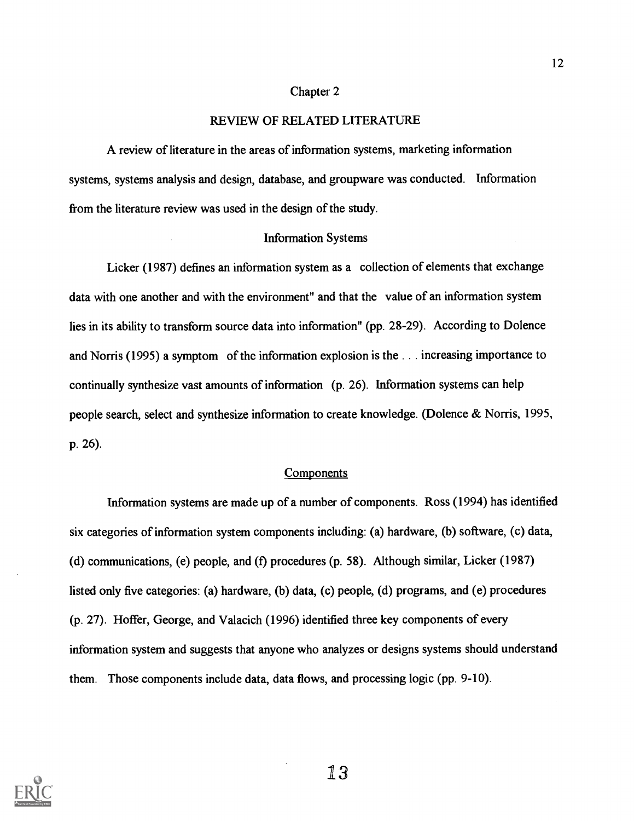#### Chapter 2

### REVIEW OF RELATED LITERATURE

A review of literature in the areas of information systems, marketing information systems, systems analysis and design, database, and groupware was conducted. Information from the literature review was used in the design of the study.

### Information Systems

Licker (1987) defines an information system as a collection of elements that exchange data with one another and with the environment" and that the value of an information system lies in its ability to transform source data into information" (pp. 28-29). According to Dolence and Norris (1995) a symptom of the information explosion is the . . . increasing importance to continually synthesize vast amounts of information (p. 26). Information systems can help people search, select and synthesize information to create knowledge. (Dolence & Norris, 1995, p. 26).

### **Components**

Information systems are made up of a number of components. Ross (1994) has identified six categories of information system components including: (a) hardware, (b) software, (c) data, (d) communications, (e) people, and (f) procedures (p. 58). Although similar, Licker (1987) listed only five categories: (a) hardware, (b) data, (c) people, (d) programs, and (e) procedures (p. 27). Hoffer, George, and Valacich (1996) identified three key components of every information system and suggests that anyone who analyzes or designs systems should understand them. Those components include data, data flows, and processing logic (pp. 9-10).

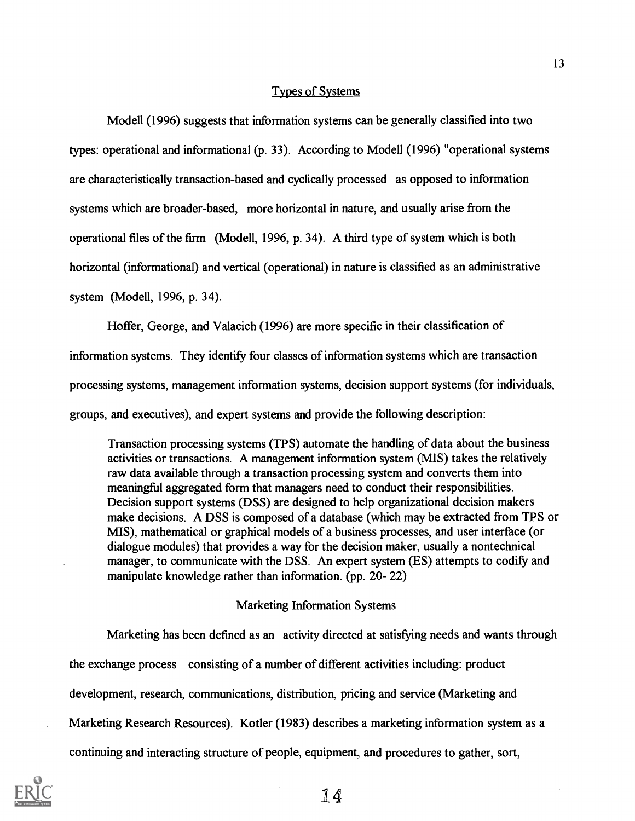### Types of Systems

Modell (1996) suggests that information systems can be generally classified into two types: operational and informational (p. 33). According to Modell (1996) "operational systems are characteristically transaction-based and cyclically processed as opposed to information systems which are broader-based, more horizontal in nature, and usually arise from the operational files of the firm (Modell, 1996, p. 34). A third type of system which is both horizontal (informational) and vertical (operational) in nature is classified as an administrative system (Modell, 1996, p. 34).

Hoffer, George, and Valacich (1996) are more specific in their classification of

information systems. They identify four classes of information systems which are transaction processing systems, management information systems, decision support systems (for individuals, groups, and executives), and expert systems and provide the following description:

Transaction processing systems (TPS) automate the handling of data about the business activities or transactions. A management information system (MIS) takes the relatively raw data available through a transaction processing system and converts them into meaningful aggregated form that managers need to conduct their responsibilities. Decision support systems (DSS) are designed to help organizational decision makers make decisions. A DSS is composed of a database (which may be extracted from TPS or MIS), mathematical or graphical models of a business processes, and user interface (or dialogue modules) that provides a way for the decision maker, usually a nontechnical manager, to communicate with the DSS. An expert system (ES) attempts to codify and manipulate knowledge rather than information. (pp. 20- 22)

### Marketing Information Systems

Marketing has been defined as an activity directed at satisfying needs and wants through the exchange process consisting of a number of different activities including: product development, research, communications, distribution, pricing and service (Marketing and Marketing Research Resources). Kotler (1983) describes a marketing information system as a continuing and interacting structure of people, equipment, and procedures to gather, sort,

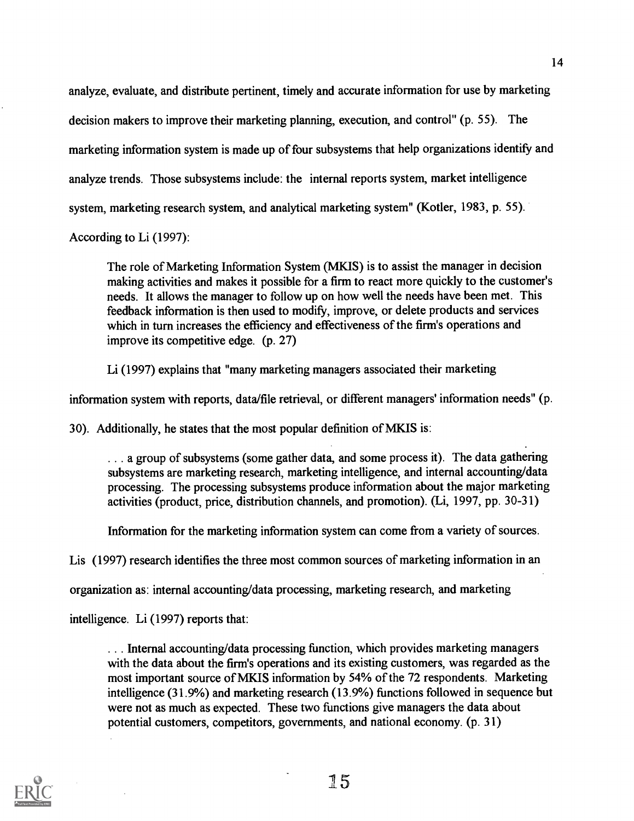analyze, evaluate, and distribute pertinent, timely and accurate information for use by marketing decision makers to improve their marketing planning, execution, and control" (p. 55). The marketing information system is made up of four subsystems that help organizations identify and analyze trends. Those subsystems include: the internal reports system, market intelligence system, marketing research system, and analytical marketing system" (Kotler, 1983, p. 55).

According to Li (1997):

The role of Marketing Information System (MKIS) is to assist the manager in decision making activities and makes it possible for a firm to react more quickly to the customer's needs. It allows the manager to follow up on how well the needs have been met. This feedback information is then used to modify, improve, or delete products and services which in turn increases the efficiency and effectiveness of the firm's operations and improve its competitive edge. (p. 27)

Li (1997) explains that "many marketing managers associated their marketing

information system with reports, data/file retrieval, or different managers' information needs" (p.

30). Additionally, he states that the most popular definition of MKIS is:

... a group of subsystems (some gather data, and some process it). The data gathering subsystems are marketing research, marketing intelligence, and internal accounting/data processing. The processing subsystems produce information about the major marketing activities (product, price, distribution channels, and promotion). (Li, 1997, pp. 30-31)

Information for the marketing information system can come from a variety of sources.

Lis (1997) research identifies the three most common sources of marketing information in an

organization as: internal accounting/data processing, marketing research, and marketing

intelligence. Li (1997) reports that:

. . . Internal accounting/data processing function, which provides marketing managers with the data about the firm's operations and its existing customers, was regarded as the most important source of MKIS information by 54% of the 72 respondents. Marketing intelligence (31.9%) and marketing research (13.9%) functions followed in sequence but were not as much as expected. These two functions give managers the data about potential customers, competitors, governments, and national economy. (p. 31)

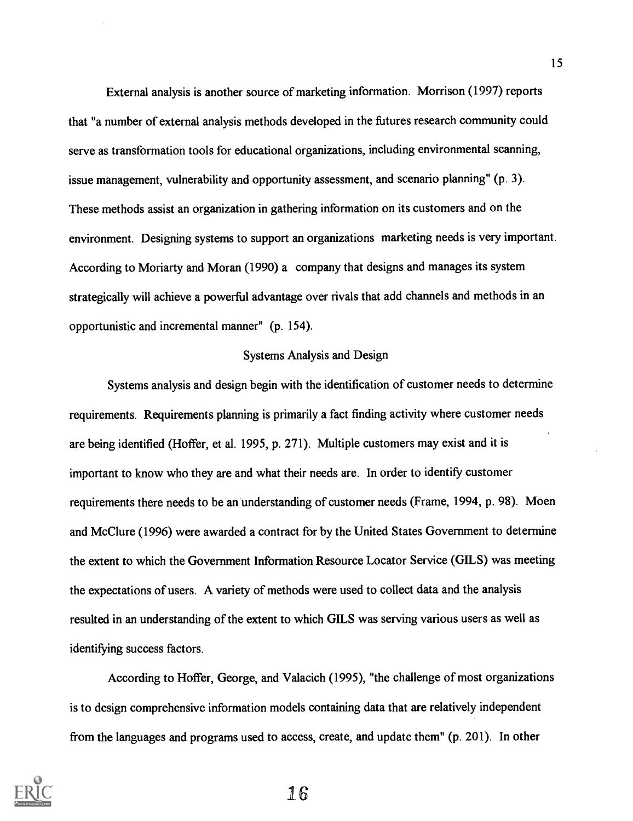External analysis is another source of marketing information. Morrison (1997) reports that "a number of external analysis methods developed in the futures research community could serve as transformation tools for educational organizations, including environmental scanning, issue management, vulnerability and opportunity assessment, and scenario planning" (p. 3). These methods assist an organization in gathering information on its customers and on the environment. Designing systems to support an organizations marketing needs is very important. According to Moriarty and Moran (1990) a company that designs and manages its system strategically will achieve a powerful advantage over rivals that add channels and methods in an opportunistic and incremental manner" (p. 154).

### Systems Analysis and Design

Systems analysis and design begin with the identification of customer needs to determine requirements. Requirements planning is primarily a fact finding activity where customer needs are being identified (Hoffer, et al. 1995, p. 271). Multiple customers may exist and it is important to know who they are and what their needs are. In order to identify customer requirements there needs to be an understanding of customer needs (Frame, 1994, p. 98). Moen and McClure (1996) were awarded a contract for by the United States Government to determine the extent to which the Government Information Resource Locator Service (GILS) was meeting the expectations of users. A variety of methods were used to collect data and the analysis resulted in an understanding of the extent to which GILS was serving various users as well as identifying success factors.

According to Hoffer, George, and Valacich (1995), "the challenge of most organizations is to design comprehensive information models containing data that are relatively independent from the languages and programs used to access, create, and update them" (p. 201). In other



1.6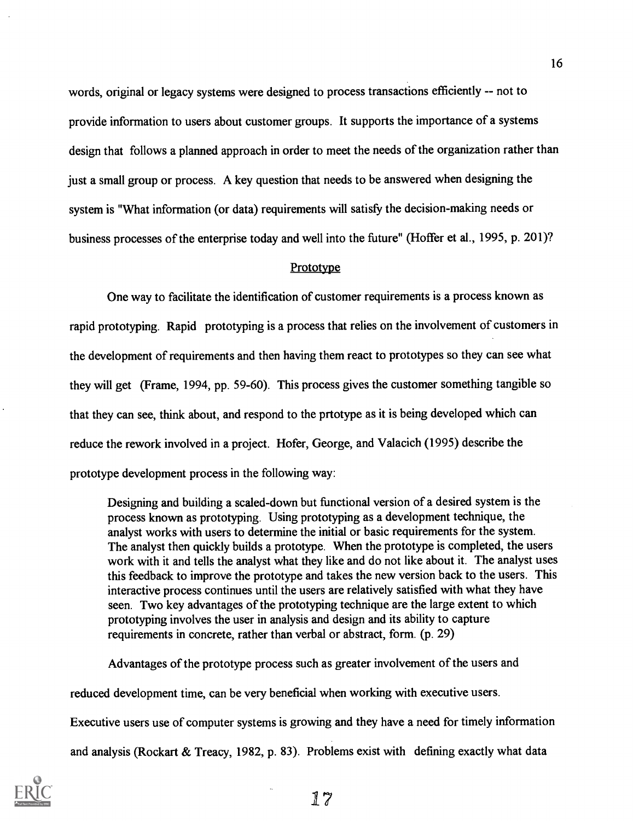words, original or legacy systems were designed to process transactions efficiently -- not to provide information to users about customer groups. It supports the importance of a systems design that follows a planned approach in order to meet the needs of the organization rather than just a small group or process. A key question that needs to be answered when designing the system is "What information (or data) requirements will satisfy the decision-making needs or business processes of the enterprise today and well into the future" (Hoffer et al., 1995, p. 201)?

#### **Prototype**

One way to facilitate the identification of customer requirements is a process known as rapid prototyping. Rapid prototyping is a process that relies on the involvement of customers in the development of requirements and then having them react to prototypes so they can see what they will get (Frame, 1994, pp. 59-60). This process gives the customer something tangible so that they can see, think about, and respond to the prtotype as it is being developed which can reduce the rework involved in a project. Hofer, George, and Valacich (1995) describe the prototype development process in the following way:

Designing and building a scaled -down but functional version of a desired system is the process known as prototyping. Using prototyping as a development technique, the analyst works with users to determine the initial or basic requirements for the system. The analyst then quickly builds a prototype. When the prototype is completed, the users work with it and tells the analyst what they like and do not like about it. The analyst uses this feedback to improve the prototype and takes the new version back to the users. This interactive process continues until the users are relatively satisfied with what they have seen. Two key advantages of the prototyping technique are the large extent to which prototyping involves the user in analysis and design and its ability to capture requirements in concrete, rather than verbal or abstract, form. (p. 29)

Advantages of the prototype process such as greater involvement of the users and

reduced development time, can be very beneficial when working with executive users.

Executive users use of computer systems is growing and they have a need for timely information

and analysis (Rockart & Treacy, 1982, p. 83). Problems exist with defining exactly what data

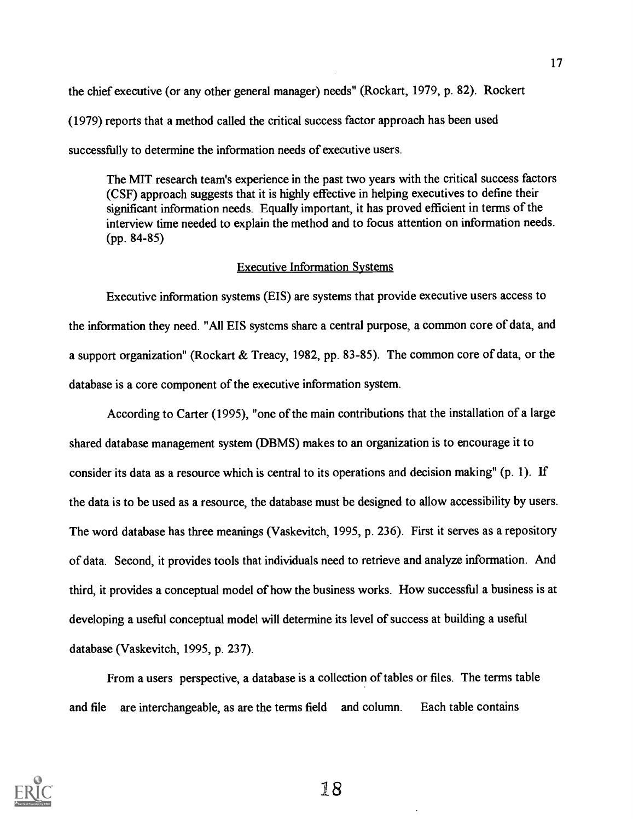the chief executive (or any other general manager) needs" (Rockart, 1979, p. 82). Rockert (1979) reports that a method called the critical success factor approach has been used successfully to determine the information needs of executive users.

The MIT research team's experience in the past two years with the critical success factors (CSF) approach suggests that it is highly effective in helping executives to define their significant information needs. Equally important, it has proved efficient in terms of the interview time needed to explain the method and to focus attention on information needs. (pp. 84-85)

### Executive Information Systems

Executive information systems (EIS) are systems that provide executive users access to the information they need. "All EIS systems share a central purpose, a common core of data, and a support organization" (Rockart & Treacy, 1982, pp. 83-85). The common core of data, or the database is a core component of the executive information system.

According to Carter (1995), "one of the main contributions that the installation of a large shared database management system (DBMS) makes to an organization is to encourage it to consider its data as a resource which is central to its operations and decision making" (p. 1). If the data is to be used as a resource, the database must be designed to allow accessibility by users. The word database has three meanings (Vaskevitch, 1995, p. 236). First it serves as a repository of data. Second, it provides tools that individuals need to retrieve and analyze information. And third, it provides a conceptual model of how the business works. How successful a business is at developing a useful conceptual model will determine its level of success at building a useful database (Vaskevitch, 1995, p. 237).

From a users perspective, a database is a collection of tables or files. The terms table and file are interchangeable, as are the terms field and column. Each table contains

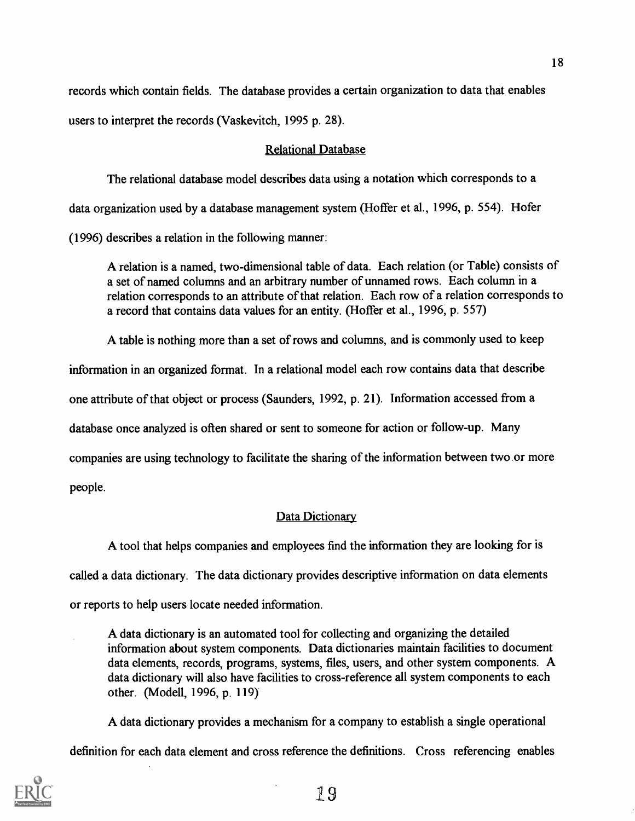records which contain fields. The database provides a certain organization to data that enables users to interpret the records (Vaskevitch, 1995 p. 28).

### Relational Database

The relational database model describes data using a notation which corresponds to a data organization used by a database management system (Hoffer et al., 1996, p. 554). Hofer (1996) describes a relation in the following manner:

A relation is a named, two-dimensional table of data. Each relation (or Table) consists of a set of named columns and an arbitrary number of unnamed rows. Each column in a relation corresponds to an attribute of that relation. Each row of a relation corresponds to a record that contains data values for an entity. (Hoffer et al., 1996, p. 557)

A table is nothing more than a set of rows and columns, and is commonly used to keep information in an organized format. In a relational model each row contains data that describe one attribute of that object or process (Saunders, 1992, p. 21). Information accessed from a database once analyzed is often shared or sent to someone for action or follow-up. Many companies are using technology to facilitate the sharing of the information between two or more people.

## Data Dictionary

A tool that helps companies and employees find the information they are looking for is called a data dictionary. The data dictionary provides descriptive information on data elements or reports to help users locate needed information.

A data dictionary is an automated tool for collecting and organizing the detailed information about system components. Data dictionaries maintain facilities to document data elements, records, programs, systems, files, users, and other system components. A data dictionary will also have facilities to cross-reference all system components to each other. (Modell, 1996, p. 119)

A data dictionary provides a mechanism for a company to establish a single operational

definition for each data element and cross reference the definitions. Cross referencing enables

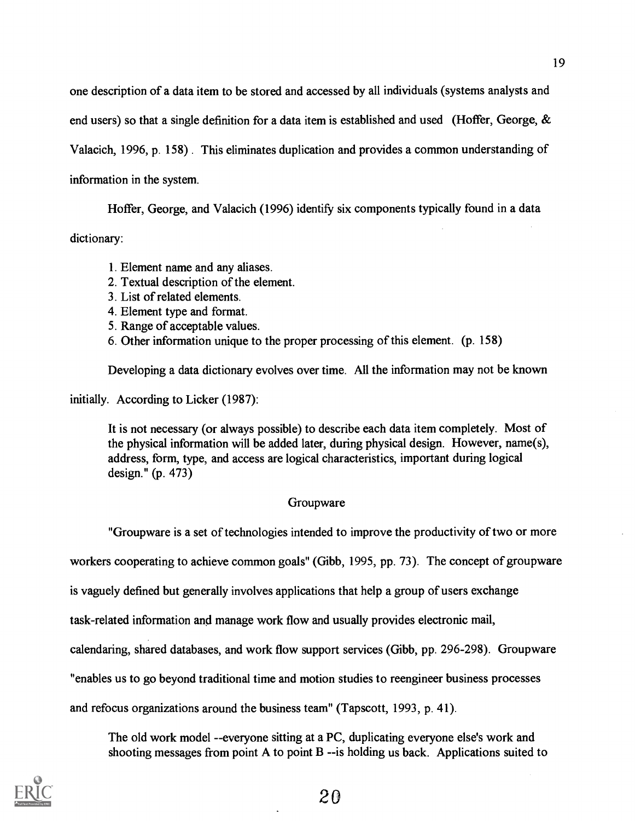one description of a data item to be stored and accessed by all individuals (systems analysts and

end users) so that a single definition for a data item is established and used (Hoffer, George,  $\&$ 

Valacich, 1996, p. 158) . This eliminates duplication and provides a common understanding of

information in the system.

Hoffer, George, and Valacich (1996) identify six components typically found in a data

dictionary:

- 1. Element name and any aliases.
- 2. Textual description of the element.
- 3. List of related elements.
- 4. Element type and format.
- 5. Range of acceptable values.
- 6. Other information unique to the proper processing of this element. (p. 158)

Developing a data dictionary evolves over time. All the information may not be known

initially. According to Licker (1987):

It is not necessary (or always possible) to describe each data item completely. Most of the physical information will be added later, during physical design. However, name(s), address, form, type, and access are logical characteristics, important during logical design." (p. 473)

## Groupware

"Groupware is a set of technologies intended to improve the productivity of two or more

workers cooperating to achieve common goals" (Gibb, 1995, pp. 73). The concept of groupware

is vaguely defined but generally involves applications that help a group of users exchange

task-related information and manage work flow and usually provides electronic mail,

calendaring, shared databases, and work flow support services (Gibb, pp. 296-298). Groupware

"enables us to go beyond traditional time and motion studies to reengineer business processes

and refocus organizations around the business team" (Tapscott, 1993, p. 41).

The old work model --everyone sitting at a PC, duplicating everyone else's work and shooting messages from point A to point B --is holding us back. Applications suited to

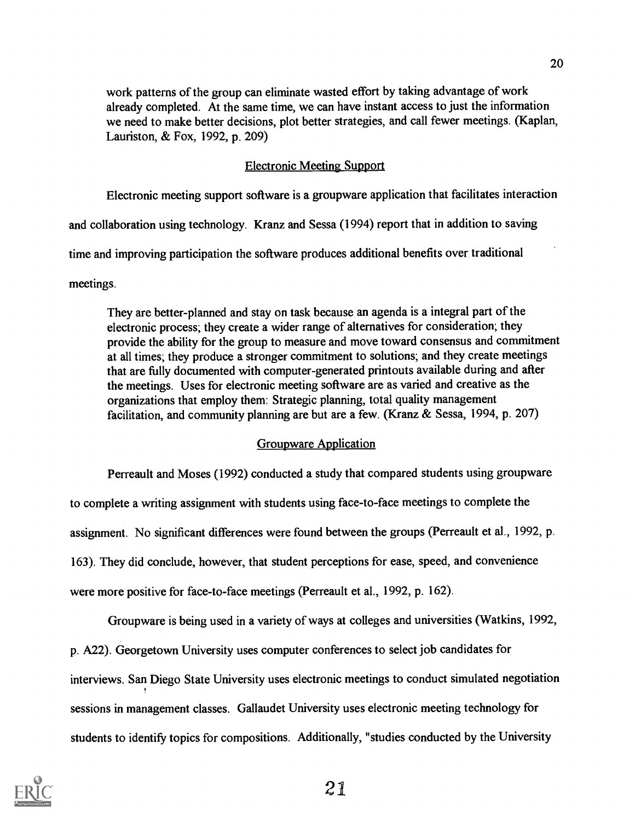work patterns of the group can eliminate wasted effort by taking advantage of work already completed. At the same time, we can have instant access to just the information we need to make better decisions, plot better strategies, and call fewer meetings. (Kaplan, Lauriston, & Fox, 1992, p. 209)

## Electronic Meeting Support

Electronic meeting support software is a groupware application that facilitates interaction

and collaboration using technology. Kranz and Sessa (1994) report that in addition to saving

time and improving participation the software produces additional benefits over traditional

meetings.

They are better-planned and stay on task because an agenda is a integral part of the electronic process; they create a wider range of alternatives for consideration; they provide the ability for the group to measure and move toward consensus and commitment at all times; they produce a stronger commitment to solutions; and they create meetings that are fully documented with computer-generated printouts available during and after the meetings. Uses for electronic meeting software are as varied and creative as the organizations that employ them: Strategic planning, total quality management facilitation, and community planning are but are a few. (Kranz & Sessa, 1994, p. 207)

## Groupware Application

Perreault and Moses (1992) conducted a study that compared students using groupware

to complete a writing assignment with students using face-to-face meetings to complete the

assignment. No significant differences were found between the groups (Perreault et al., 1992, p.

163). They did conclude, however, that student perceptions for ease, speed, and convenience

were more positive for face-to-face meetings (Perreault et al., 1992, p. 162).

Groupware is being used in a variety of ways at colleges and universities (Watkins, 1992,

p. A22). Georgetown University uses computer conferences to select job candidates for

interviews. San Diego State University uses electronic meetings to conduct simulated negotiation

sessions in management classes. Gallaudet University uses electronic meeting technology for

students to identify topics for compositions. Additionally, "studies conducted by the University

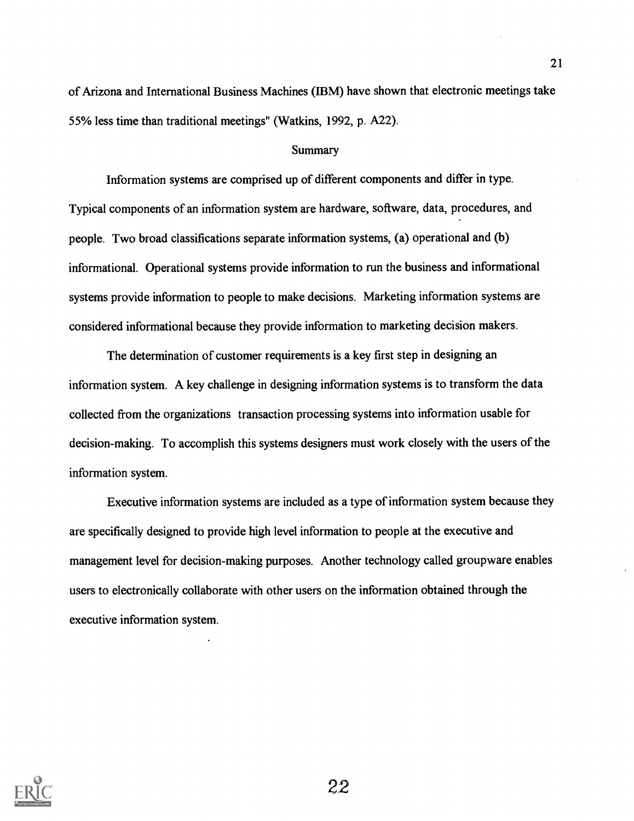of Arizona and International Business Machines (IBM) have shown that electronic meetings take 55% less time than traditional meetings" (Watkins, 1992, p. A22).

#### Summary

Information systems are comprised up of different components and differ in type. Typical components of an information system are hardware, software, data, procedures, and people. Two broad classifications separate information systems, (a) operational and (b) informational. Operational systems provide information to run the business and informational systems provide information to people to make decisions. Marketing information systems are considered informational because they provide information to marketing decision makers.

The determination of customer requirements is a key first step in designing an information system. A key challenge in designing information systems is to transform the data collected from the organizations transaction processing systems into information usable for decision-making. To accomplish this systems designers must work closely with the users of the information system.

Executive information systems are included as a type of information system because they are specifically designed to provide high level information to people at the executive and management level for decision-making purposes. Another technology called groupware enables users to electronically collaborate with other users on the information obtained through the executive information system.

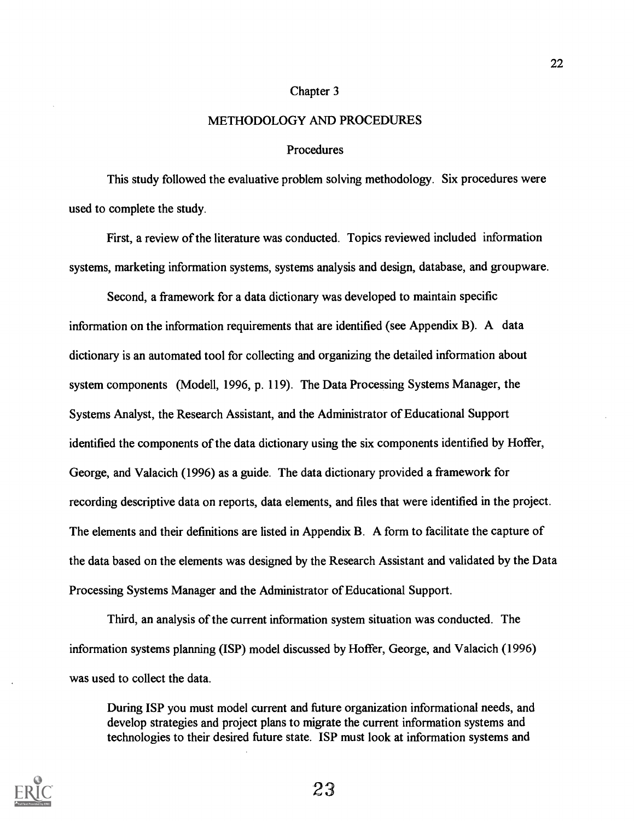### Chapter 3

### METHODOLOGY AND PROCEDURES

#### Procedures

This study followed the evaluative problem solving methodology. Six procedures were used to complete the study.

First, a review of the literature was conducted. Topics reviewed included information systems, marketing information systems, systems analysis and design, database, and groupware.

Second, a framework for a data dictionary was developed to maintain specific information on the information requirements that are identified (see Appendix B). A data dictionary is an automated tool for collecting and organizing the detailed information about system components (Modell, 1996, p. 119). The Data Processing Systems Manager, the Systems Analyst, the Research Assistant, and the Administrator of Educational Support identified the components of the data dictionary using the six components identified by Hoffer, George, and Valacich (1996) as a guide. The data dictionary provided a framework for recording descriptive data on reports, data elements, and files that were identified in the project. The elements and their definitions are listed in Appendix B. A form to facilitate the capture of the data based on the elements was designed by the Research Assistant and validated by the Data Processing Systems Manager and the Administrator of Educational Support.

Third, an analysis of the current information system situation was conducted. The information systems planning (ISP) model discussed by Hoffer, George, and Valacich (1996) was used to collect the data.

During ISP you must model current and future organization informational needs, and develop strategies and project plans to migrate the current information systems and technologies to their desired future state. ISP must look at information systems and

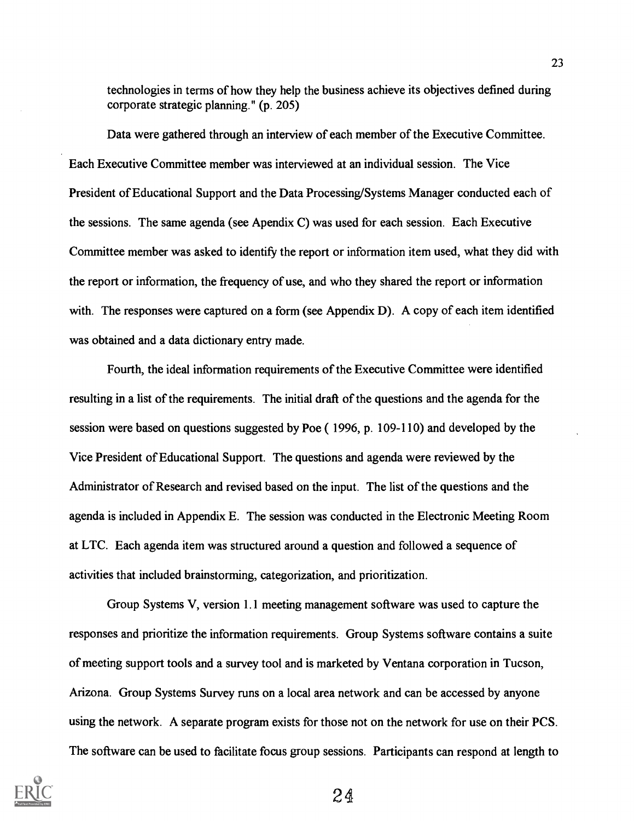technologies in terms of how they help the business achieve its objectives defined during corporate strategic planning." (p. 205)

Data were gathered through an interview of each member of the Executive Committee. Each Executive Committee member was interviewed at an individual session. The Vice President of Educational Support and the Data Processing/Systems Manager conducted each of the sessions. The same agenda (see Apendix C) was used for each session. Each Executive Committee member was asked to identify the report or information item used, what they did with the report or information, the frequency of use, and who they shared the report or information with. The responses were captured on a form (see Appendix D). A copy of each item identified was obtained and a data dictionary entry made.

Fourth, the ideal information requirements of the Executive Committee were identified resulting in a list of the requirements. The initial draft of the questions and the agenda for the session were based on questions suggested by Poe ( 1996, p. 109-110) and developed by the Vice President of Educational Support. The questions and agenda were reviewed by the Administrator of Research and revised based on the input. The list of the questions and the agenda is included in Appendix E. The session was conducted in the Electronic Meeting Room at LTC. Each agenda item was structured around a question and followed a sequence of activities that included brainstorming, categorization, and prioritization.

Group Systems V, version 1.1 meeting management software was used to capture the responses and prioritize the information requirements. Group Systems software contains a suite of meeting support tools and a survey tool and is marketed by Ventana corporation in Tucson, Arizona. Group Systems Survey runs on a local area network and can be accessed by anyone using the network. A separate program exists for those not on the network for use on their PCS. The software can be used to facilitate focus group sessions. Participants can respond at length to

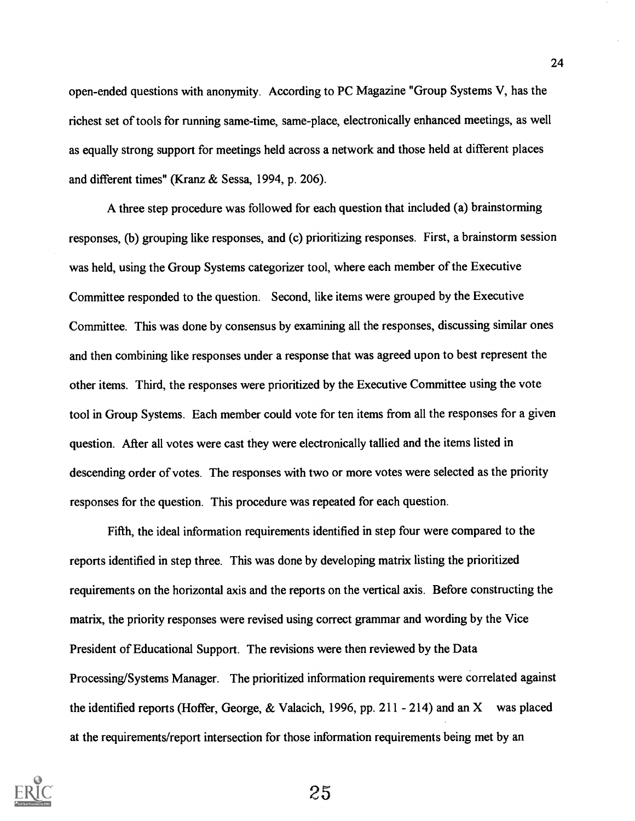open-ended questions with anonymity. According to PC Magazine "Group Systems V, has the richest set of tools for running same-time, same-place, electronically enhanced meetings, as well as equally strong support for meetings held across a network and those held at different places and different times" (Kranz & Sessa, 1994, p. 206).

A three step procedure was followed for each question that included (a) brainstorming responses, (b) grouping like responses, and (c) prioritizing responses. First, a brainstorm session was held, using the Group Systems categorizer tool, where each member of the Executive Committee responded to the question. Second, like items were grouped by the Executive Committee. This was done by consensus by examining all the responses, discussing similar ones and then combining like responses under a response that was agreed upon to best represent the other items. Third, the responses were prioritized by the Executive Committee using the vote tool in Group Systems. Each member could vote for ten items from all the responses for a given question. After all votes were cast they were electronically tallied and the items listed in descending order of votes. The responses with two or more votes were selected as the priority responses for the question. This procedure was repeated for each question.

Fifth, the ideal information requirements identified in step four were compared to the reports identified in step three. This was done by developing matrix listing the prioritized requirements on the horizontal axis and the reports on the vertical axis. Before constructing the matrix, the priority responses were revised using correct grammar and wording by the Vice President of Educational Support. The revisions were then reviewed by the Data Processing/Systems Manager. The prioritized information requirements were correlated against the identified reports (Hoffer, George, & Valacich, 1996, pp. 211 - 214) and an X was placed at the requirements/report intersection for those information requirements being met by an

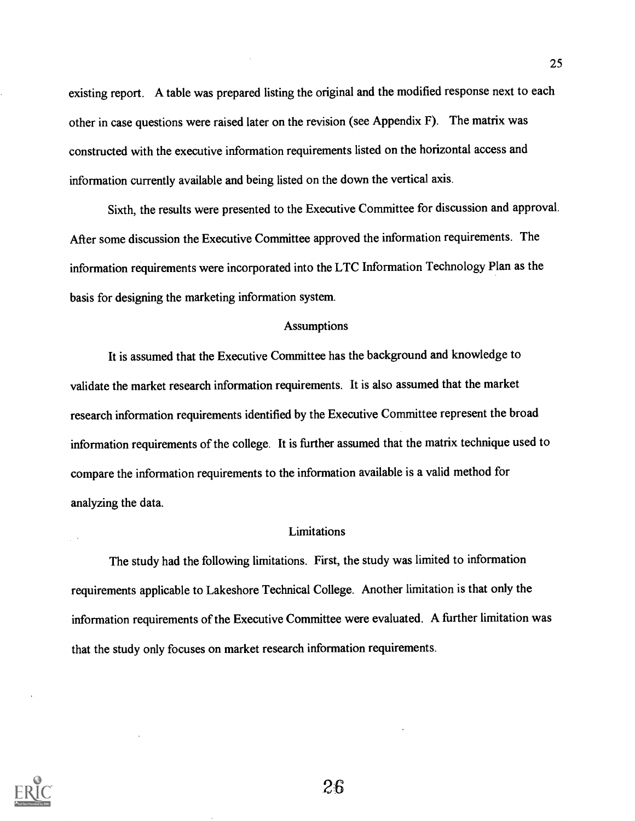existing report. A table was prepared listing the original and the modified response next to each other in case questions were raised later on the revision (see Appendix F). The matrix was constructed with the executive information requirements listed on the horizontal access and information currently available and being listed on the down the vertical axis.

Sixth, the results were presented to the Executive Committee for discussion and approval. After some discussion the Executive Committee approved the information requirements. The information requirements were incorporated into the LTC Information Technology Plan as the basis for designing the marketing information system.

### **Assumptions**

It is assumed that the Executive Committee has the background and knowledge to validate the market research information requirements. It is also assumed that the market research information requirements identified by the Executive Committee represent the broad information requirements of the college. It is further assumed that the matrix technique used to compare the information requirements to the information available is a valid method for analyzing the data.

### Limitations

The study had the following limitations. First, the study was limited to information requirements applicable to Lakeshore Technical College. Another limitation is that only the information requirements of the Executive Committee were evaluated. A further limitation was that the study only focuses on market research information requirements.



 $\mathbb{R}^{\mathbb{Z}}$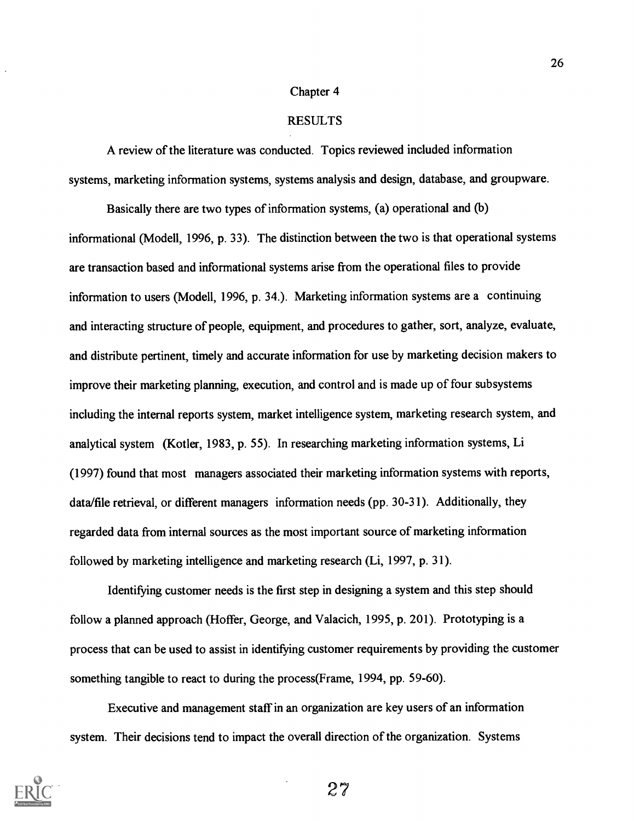#### Chapter 4

### RESULTS

A review of the literature was conducted. Topics reviewed included information systems, marketing information systems, systems analysis and design, database, and groupware.

Basically there are two types of information systems, (a) operational and (b) informational (Modell, 1996, p. 33). The distinction between the two is that operational systems are transaction based and informational systems arise from the operational files to provide information to users (Modell, 1996, p. 34.). Marketing information systems are a continuing and interacting structure of people, equipment, and procedures to gather, sort, analyze, evaluate, and distribute pertinent, timely and accurate information for use by marketing decision makers to improve their marketing planning, execution, and control and is made up of four subsystems including the internal reports system, market intelligence system, marketing research system, and analytical system (Kotler, 1983, p. 55). In researching marketing information systems, Li (1997) found that most managers associated their marketing information systems with reports, data/file retrieval, or different managers information needs (pp. 30-31). Additionally, they regarded data from internal sources as the most important source of marketing information followed by marketing intelligence and marketing research (Li, 1997, p. 31).

Identifying customer needs is the first step in designing a system and this step should follow a planned approach (Hoffer, George, and Valacich, 1995, p. 201). Prototyping is a process that can be used to assist in identifying customer requirements by providing the customer something tangible to react to during the process(Frame, 1994, pp. 59-60).

Executive and management staff in an organization are key users of an information system. Their decisions tend to impact the overall direction of the organization. Systems

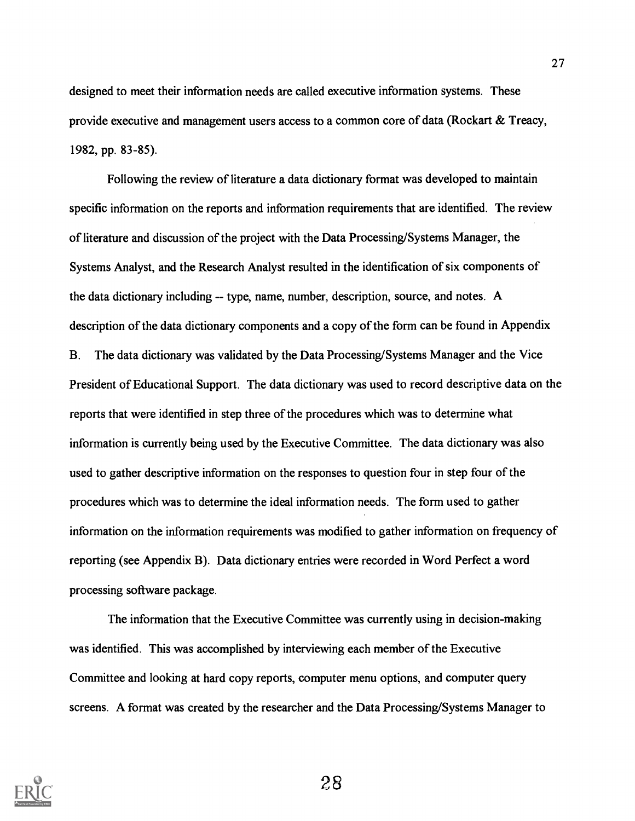designed to meet their information needs are called executive information systems. These provide executive and management users access to a common core of data (Rockart & Treacy, 1982, pp. 83-85).

Following the review of literature a data dictionary format was developed to maintain specific information on the reports and information requirements that are identified. The review of literature and discussion of the project with the Data Processing/Systems Manager, the Systems Analyst, and the Research Analyst resulted in the identification of six components of the data dictionary including -- type, name, number, description, source, and notes. A description of the data dictionary components and a copy of the form can be found in Appendix B. The data dictionary was validated by the Data Processing/Systems Manager and the Vice President of Educational Support. The data dictionary was used to record descriptive data on the reports that were identified in step three of the procedures which was to determine what information is currently being used by the Executive Committee. The data dictionary was also used to gather descriptive information on the responses to question four in step four of the procedures which was to determine the ideal information needs. The form used to gather information on the information requirements was modified to gather information on frequency of reporting (see Appendix B). Data dictionary entries were recorded in Word Perfect a word processing software package.

The information that the Executive Committee was currently using in decision-making was identified. This was accomplished by interviewing each member of the Executive Committee and looking at hard copy reports, computer menu options, and computer query screens. A format was created by the researcher and the Data Processing/Systems Manager to

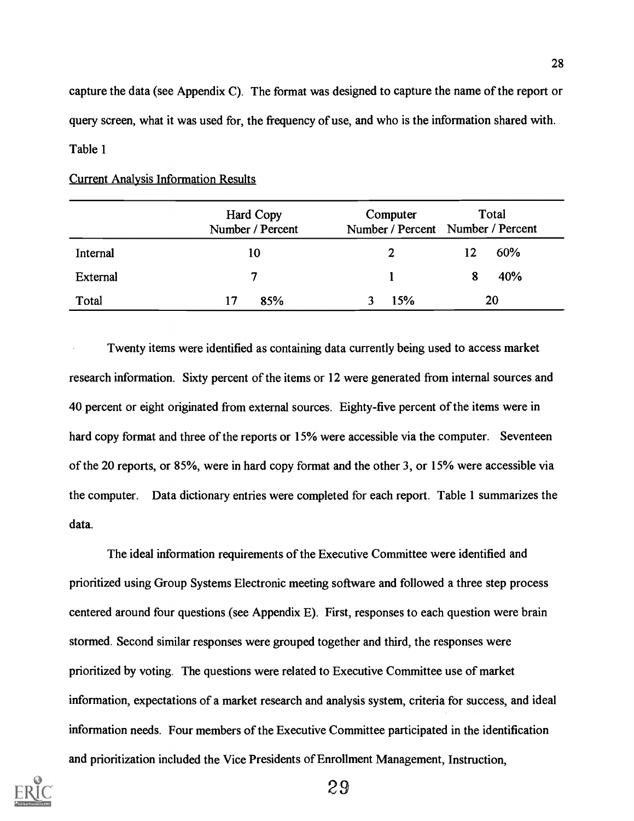capture the data (see Appendix C). The format was designed to capture the name of the report or query screen, what it was used for, the frequency of use, and who is the information shared with. Table 1

|          | Hard Copy<br>Number / Percent | Computer     | Total<br>Number / Percent Number / Percent |
|----------|-------------------------------|--------------|--------------------------------------------|
| Internal | 10                            | $\mathbf{2}$ | 60%<br>12                                  |
| External |                               |              | 40%<br>8                                   |
| Total    | 85%<br>17                     | 15%          | 20                                         |

## Current Analysis Information Results

Twenty items were identified as containing data currently being used to access market research information. Sixty percent of the items or 12 were generated from internal sources and 40 percent or eight originated from external sources. Eighty-five percent of the items were in hard copy format and three of the reports or 15% were accessible via the computer. Seventeen of the 20 reports, or 85%, were in hard copy format and the other 3, or 15% were accessible via the computer. Data dictionary entries were completed for each report. Table 1 summarizes the data.

The ideal information requirements of the Executive Committee were identified and prioritized using Group Systems Electronic meeting software and followed a three step process centered around four questions (see Appendix E). First, responses to each question were brain stormed. Second similar responses were grouped together and third, the responses were prioritized by voting. The questions were related to Executive Committee use of market information, expectations of a market research and analysis system, criteria for success, and ideal information needs. Four members of the Executive Committee participated in the identification and prioritization included the Vice Presidents of Enrollment Management, Instruction,

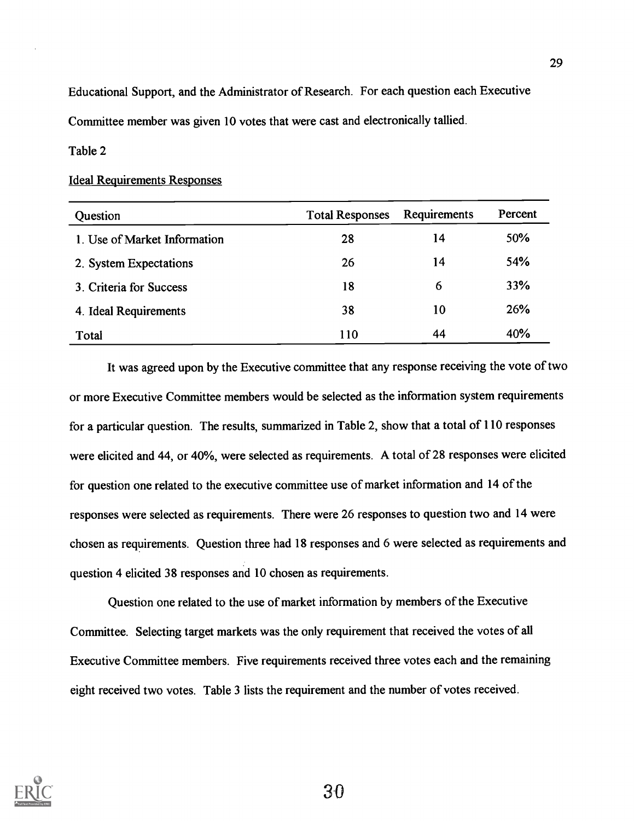Educational Support, and the Administrator of Research. For each question each Executive Committee member was given 10 votes that were cast and electronically tallied.

## Table 2

### Ideal Requirements Responses

| Question                     | <b>Total Responses</b> | Requirements | Percent |
|------------------------------|------------------------|--------------|---------|
| 1. Use of Market Information | 28                     | 14           | 50%     |
| 2. System Expectations       | 26                     | 14           | 54%     |
| 3. Criteria for Success      | 18                     | 6            | 33%     |
| 4. Ideal Requirements        | 38                     | 10           | 26%     |
| Total                        | 110                    | 44           | 40%     |

It was agreed upon by the Executive committee that any response receiving the vote of two or more Executive Committee members would be selected as the information system requirements for a particular question. The results, summarized in Table 2, show that a total of 110 responses were elicited and 44, or 40%, were selected as requirements. A total of 28 responses were elicited for question one related to the executive committee use of market information and 14 of the responses were selected as requirements. There were 26 responses to question two and 14 were chosen as requirements. Question three had 18 responses and 6 were selected as requirements and question 4 elicited 38 responses and 10 chosen as requirements.

Question one related to the use of market information by members of the Executive Committee. Selecting target markets was the only requirement that received the votes of all Executive Committee members. Five requirements received three votes each and the remaining eight received two votes. Table 3 lists the requirement and the number of votes received.

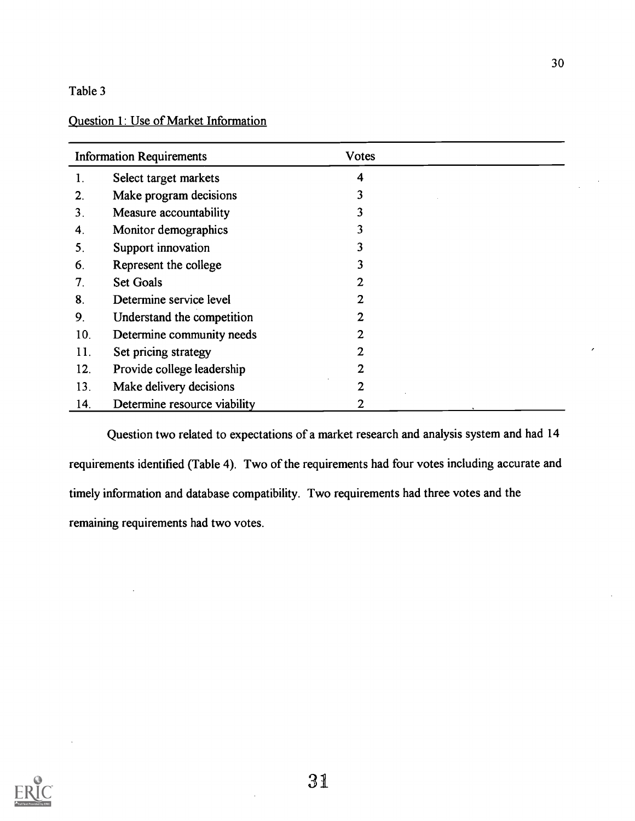## Question 1: Use of Market Information

| <b>Information Requirements</b> |                              | <b>Votes</b>   |  |
|---------------------------------|------------------------------|----------------|--|
| 1.                              | Select target markets        | 4              |  |
| $2_{\cdot}$                     | Make program decisions       | 3              |  |
| 3.                              | Measure accountability       | 3              |  |
| 4.                              | Monitor demographics         | 3              |  |
| 5.                              | Support innovation           | 3              |  |
| 6.                              | Represent the college        | 3              |  |
| 7.                              | <b>Set Goals</b>             | 2              |  |
| 8.                              | Determine service level      | 2              |  |
| 9.                              | Understand the competition   | 2              |  |
| 10.                             | Determine community needs    | $\overline{2}$ |  |
| 11.                             | Set pricing strategy         | 2              |  |
| 12.                             | Provide college leadership   | 2              |  |
| 13.                             | Make delivery decisions      | $\overline{2}$ |  |
| 14.                             | Determine resource viability | 2              |  |

Question two related to expectations of a market research and analysis system and had 14 requirements identified (Table 4). Two of the requirements had four votes including accurate and timely information and database compatibility. Two requirements had three votes and the remaining requirements had two votes.

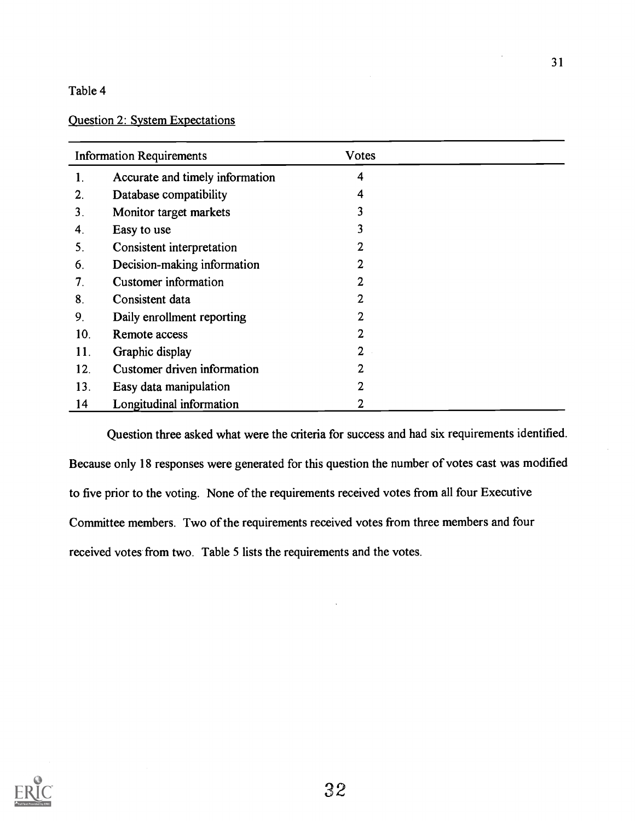## Question 2: System Expectations

| <b>Information Requirements</b> |                                 | <b>Votes</b>   |  |
|---------------------------------|---------------------------------|----------------|--|
| 1.                              | Accurate and timely information | 4              |  |
| 2.                              | Database compatibility          | 4              |  |
| 3.                              | Monitor target markets          | 3              |  |
| 4.                              | Easy to use                     | 3              |  |
| 5.                              | Consistent interpretation       | 2              |  |
| 6.                              | Decision-making information     | 2              |  |
| 7.                              | Customer information            | 2              |  |
| 8.                              | Consistent data                 | 2              |  |
| 9.                              | Daily enrollment reporting      | 2              |  |
| 10.                             | Remote access                   | 2              |  |
| 11.                             | Graphic display                 | $\overline{2}$ |  |
| 12.                             | Customer driven information     | 2              |  |
| 13.                             | Easy data manipulation          | 2              |  |
| 14                              | Longitudinal information        | 2              |  |

Question three asked what were the criteria for success and had six requirements identified. Because only 18 responses were generated for this question the number of votes cast was modified to five prior to the voting. None of the requirements received votes from all four Executive Committee members. Two of the requirements received votes from three members and four received votes from two. Table 5 lists the requirements and the votes.

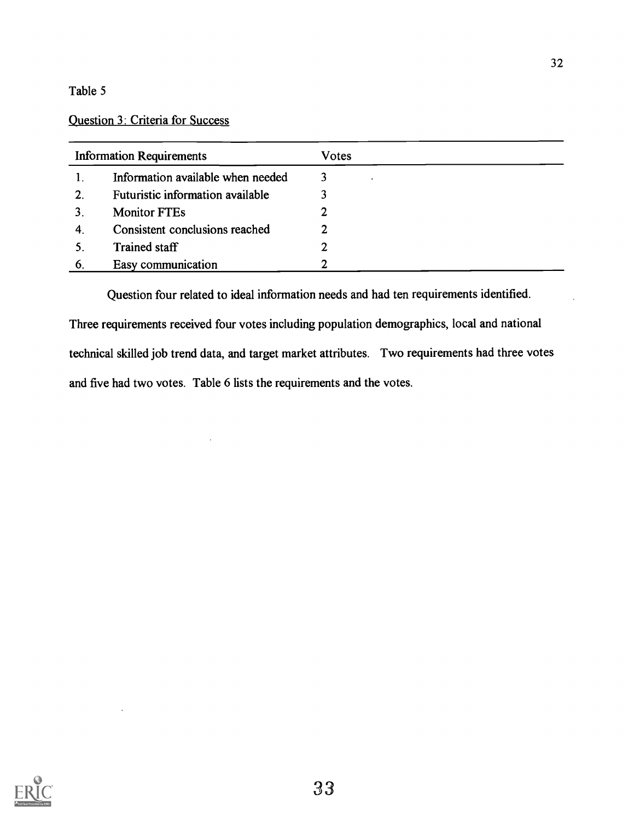## Question 3: Criteria for Success

| <b>Information Requirements</b> |                                   | Votes |
|---------------------------------|-----------------------------------|-------|
|                                 | Information available when needed | 3     |
| 2.                              | Futuristic information available  |       |
|                                 | <b>Monitor FTEs</b>               |       |
|                                 | Consistent conclusions reached    | 2     |
|                                 | Trained staff                     | 2     |
| 6                               | Easy communication                | 2     |

Question four related to ideal information needs and had ten requirements identified. Three requirements received four votes including population demographics, local and national technical skilled job trend data, and target market attributes. Two requirements had three votes and five had two votes. Table 6 lists the requirements and the votes.

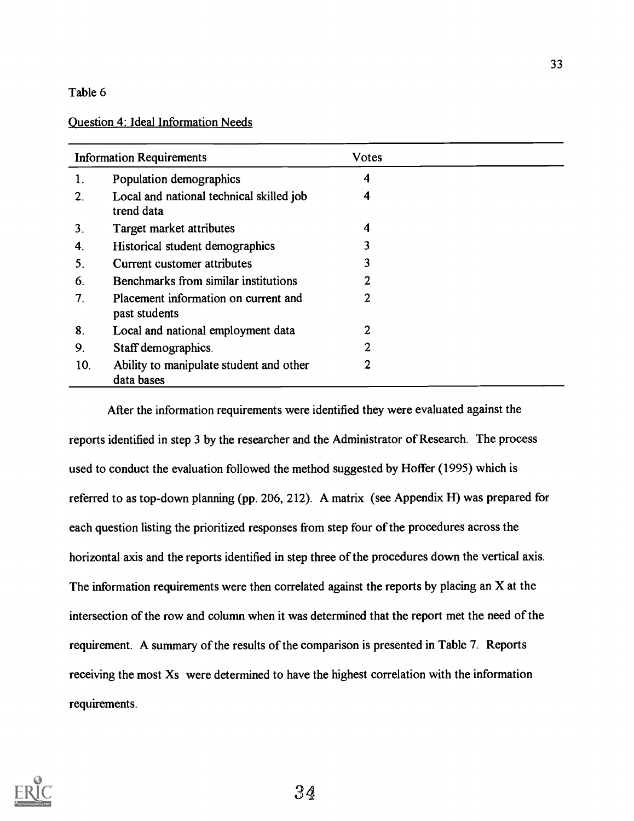## Question 4: Ideal Information Needs

|                  | <b>Information Requirements</b>                        | <b>Votes</b>   |  |
|------------------|--------------------------------------------------------|----------------|--|
| 1.               | Population demographics                                | 4              |  |
| $\overline{2}$ . | Local and national technical skilled job<br>trend data | 4              |  |
| 3.               | Target market attributes                               | 4              |  |
| 4.               | Historical student demographics                        | 3              |  |
| 5.               | Current customer attributes                            | 3              |  |
| 6.               | Benchmarks from similar institutions                   |                |  |
| 7.               | Placement information on current and<br>past students  | 2              |  |
| 8.               | Local and national employment data                     | 2              |  |
| 9.               | Staff demographics.                                    | $\overline{2}$ |  |
| 10.              | Ability to manipulate student and other<br>data bases  | 2              |  |

After the information requirements were identified they were evaluated against the reports identified in step 3 by the researcher and the Administrator of Research. The process used to conduct the evaluation followed the method suggested by Hoffer (1995) which is referred to as top-down planning (pp. 206, 212). A matrix (see Appendix H) was prepared for each question listing the prioritized responses from step four of the procedures across the horizontal axis and the reports identified in step three of the procedures down the vertical axis. The information requirements were then correlated against the reports by placing an X at the intersection of the row and column when it was determined that the report met the need of the requirement. A summary of the results of the comparison is presented in Table 7. Reports receiving the most Xs were determined to have the highest correlation with the information requirements.

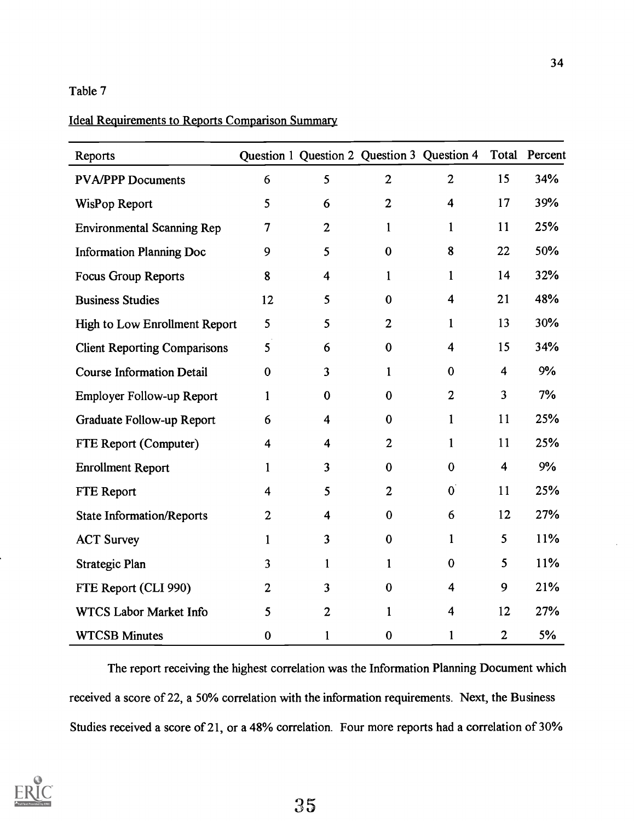## Ideal Requirements to Reports Comparison Summary

| Reports                             |                  |                         |                | Question 1 Question 2 Question 3 Question 4 |                         | Total Percent |
|-------------------------------------|------------------|-------------------------|----------------|---------------------------------------------|-------------------------|---------------|
| <b>PVA/PPP Documents</b>            | 6                | 5                       | $\overline{2}$ | $\overline{2}$                              | 15                      | 34%           |
| WisPop Report                       | 5                | 6                       | $\mathbf{2}$   | 4                                           | 17                      | 39%           |
| <b>Environmental Scanning Rep</b>   | $\overline{7}$   | 2                       | $\mathbf{1}$   | $\mathbf{1}$                                | 11                      | 25%           |
| <b>Information Planning Doc</b>     | 9                | 5                       | $\bf{0}$       | 8                                           | 22                      | 50%           |
| <b>Focus Group Reports</b>          | $\boldsymbol{8}$ | 4                       | $\mathbf{1}$   | $\mathbf{1}$                                | 14                      | 32%           |
| <b>Business Studies</b>             | 12               | 5                       | $\bf{0}$       | $\overline{\mathbf{4}}$                     | 21                      | 48%           |
| High to Low Enrollment Report       | 5                | 5                       | $\overline{2}$ | $\mathbf{1}$                                | 13                      | 30%           |
| <b>Client Reporting Comparisons</b> | 5                | 6                       | $\bf{0}$       | $\overline{\mathbf{4}}$                     | 15                      | 34%           |
| <b>Course Information Detail</b>    | $\bf{0}$         | 3                       | $\mathbf{1}$   | $\bf{0}$                                    | $\overline{\mathbf{4}}$ | 9%            |
| Employer Follow-up Report           | $\mathbf{1}$     | $\bf{0}$                | $\bf{0}$       | $\boldsymbol{2}$                            | 3                       | 7%            |
| Graduate Follow-up Report           | 6                | $\overline{\mathbf{4}}$ | $\bf{0}$       | $\mathbf{1}$                                | 11                      | 25%           |
| FTE Report (Computer)               | $\overline{4}$   | 4                       | $\overline{2}$ | 1                                           | 11                      | 25%           |
| <b>Enrollment Report</b>            | $\mathbf{1}$     | $\overline{\mathbf{3}}$ | $\bf{0}$       | $\bf{0}$                                    | $\overline{\mathbf{4}}$ | 9%            |
| FTE Report                          | 4                | 5                       | $\overline{2}$ | $\mathbf{0}$                                | 11                      | 25%           |
| <b>State Information/Reports</b>    | $\overline{2}$   | $\overline{\mathbf{4}}$ | $\bf{0}$       | 6                                           | 12                      | 27%           |
| <b>ACT Survey</b>                   | $\mathbf{1}$     | $\overline{\mathbf{3}}$ | $\bf{0}$       | $\mathbf{1}$                                | 5                       | 11%           |
| Strategic Plan                      | 3                | $\mathbf{1}$            | $\mathbf{1}$   | $\bf{0}$                                    | 5                       | 11%           |
| FTE Report (CLI 990)                | $\mathbf{2}$     | $\overline{\mathbf{3}}$ | $\bf{0}$       | $\overline{\mathbf{4}}$                     | 9                       | 21%           |
| WTCS Labor Market Info              | 5                | $\overline{2}$          | $\mathbf{1}$   | 4                                           | 12                      | 27%           |
| <b>WTCSB Minutes</b>                | $\bf{0}$         | 1                       | $\pmb{0}$      | $\mathbf{1}$                                | $\overline{2}$          | 5%            |

The report receiving the highest correlation was the Information Planning Document which received a score of 22, a 50% correlation with the information requirements. Next, the Business Studies received a score of 21, or a 48% correlation. Four more reports had a correlation of 30%

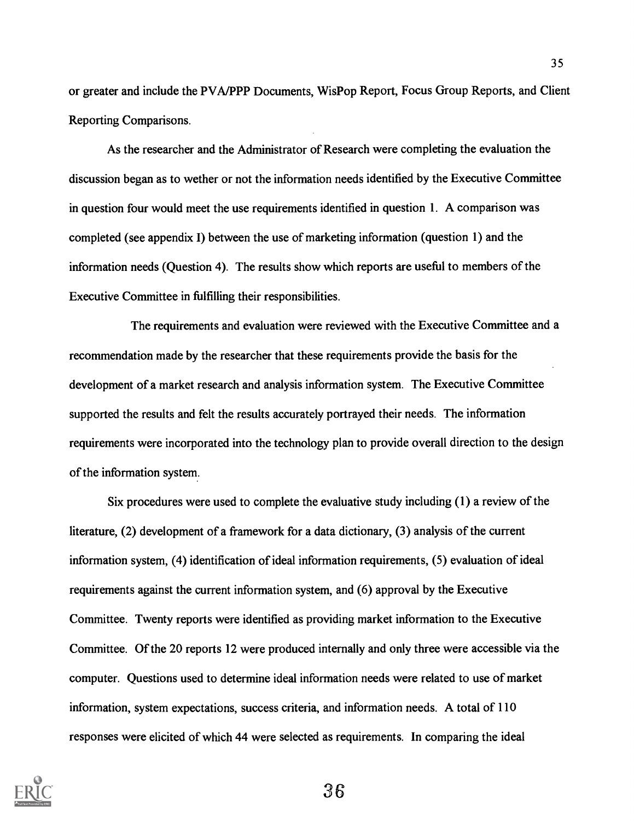or greater and include the PVA/PPP Documents, WisPop Report, Focus Group Reports, and Client Reporting Comparisons.

As the researcher and the Administrator of Research were completing the evaluation the discussion began as to wether or not the information needs identified by the Executive Committee in question four would meet the use requirements identified in question 1. A comparison was completed (see appendix I) between the use of marketing information (question 1) and the information needs (Question 4). The results show which reports are useful to members of the Executive Committee in fulfilling their responsibilities.

The requirements and evaluation were reviewed with the Executive Committee and a recommendation made by the researcher that these requirements provide the basis for the development of a market research and analysis information system. The Executive Committee supported the results and felt the results accurately portrayed their needs. The information requirements were incorporated into the technology plan to provide overall direction to the design of the information system.

Six procedures were used to complete the evaluative study including (1) a review of the literature, (2) development of a framework for a data dictionary, (3) analysis of the current information system, (4) identification of ideal information requirements, (5) evaluation of ideal requirements against the current information system, and (6) approval by the Executive Committee. Twenty reports were identified as providing market information to the Executive Committee. Of the 20 reports 12 were produced internally and only three were accessible via the computer. Questions used to determine ideal information needs were related to use of market information, system expectations, success criteria, and information needs. A total of 110 responses were elicited of which 44 were selected as requirements. In comparing the ideal

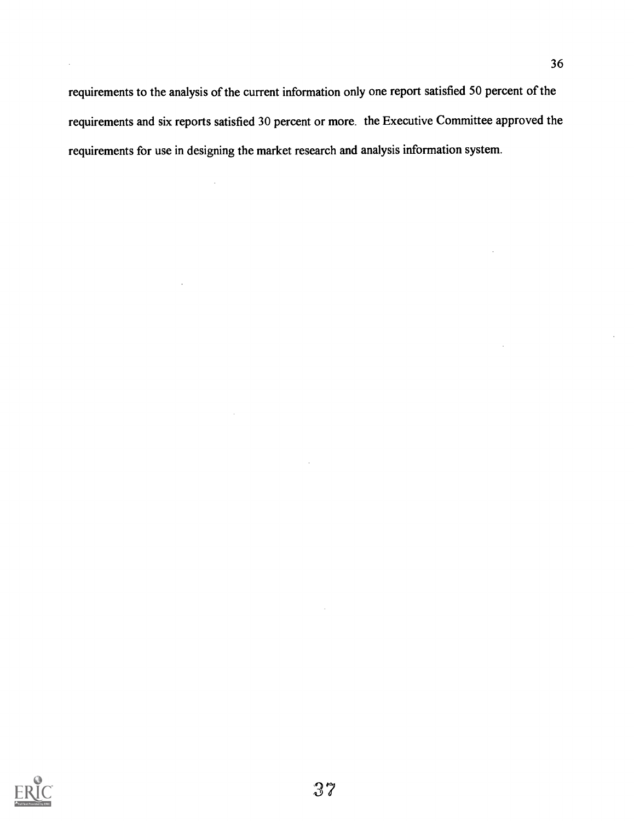requirements to the analysis of the current information only one report satisfied 50 percent of the requirements and six reports satisfied 30 percent or more. the Executive Committee approved the requirements for use in designing the market research and analysis information system.

 $\ddot{\phantom{a}}$ 

 $\Delta$ 

 $\bar{\bar{z}}$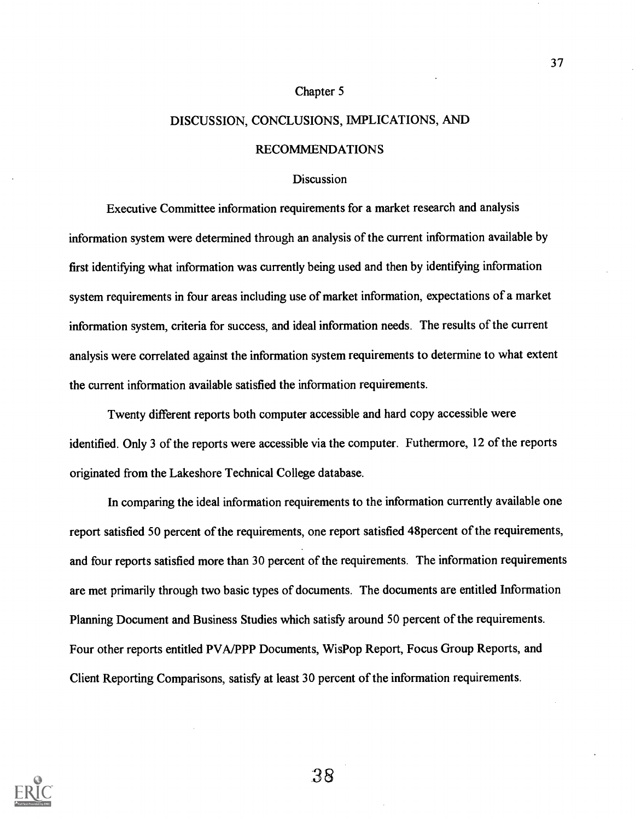#### Chapter 5

## DISCUSSION, CONCLUSIONS, IMPLICATIONS, AND

#### RECOMMENDATIONS

#### **Discussion**

Executive Committee information requirements for a market research and analysis information system were determined through an analysis of the current information available by first identifying what information was currently being used and then by identifying information system requirements in four areas including use of market information, expectations of a market information system, criteria for success, and ideal information needs. The results of the current analysis were correlated against the information system requirements to determine to what extent the current information available satisfied the information requirements.

Twenty different reports both computer accessible and hard copy accessible were identified. Only 3 of the reports were accessible via the computer. Futhermore, 12 of the reports originated from the Lakeshore Technical College database.

In comparing the ideal information requirements to the information currently available one report satisfied 50 percent of the requirements, one report satisfied 48percent of the requirements, and four reports satisfied more than 30 percent of the requirements. The information requirements are met primarily through two basic types of documents. The documents are entitled Information Planning Document and Business Studies which satisfy around 50 percent of the requirements. Four other reports entitled PVA/PPP Documents, WisPop Report, Focus Group Reports, and Client Reporting Comparisons, satisfy at least 30 percent of the information requirements.

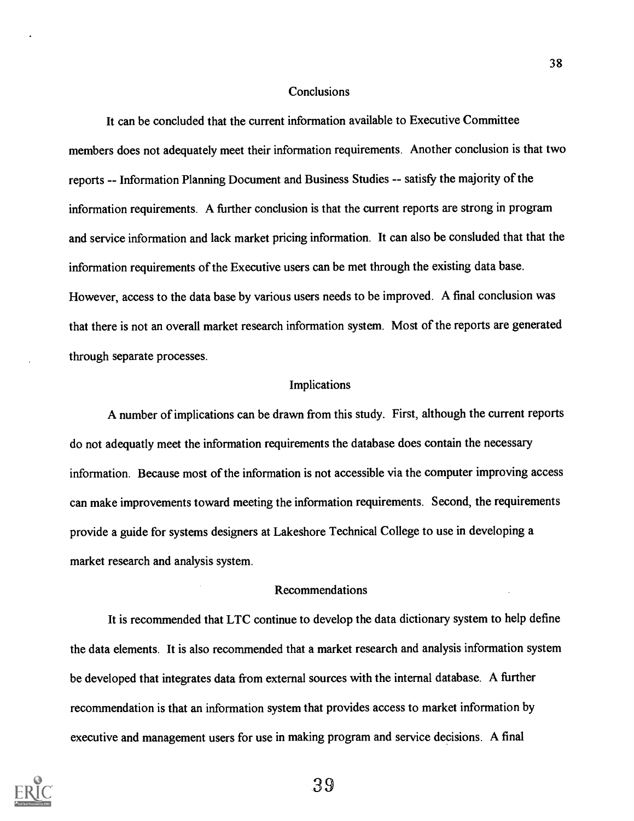#### **Conclusions**

It can be concluded that the current information available to Executive Committee members does not adequately meet their information requirements. Another conclusion is that two reports -- Information Planning Document and Business Studies -- satisfy the majority of the information requirements. A further conclusion is that the current reports are strong in program and service information and lack market pricing information. It can also be consluded that that the information requirements of the Executive users can be met through the existing data base. However, access to the data base by various users needs to be improved. A final conclusion was that there is not an overall market research information system. Most of the reports are generated through separate processes.

#### Implications

A number of implications can be drawn from this study. First, although the current reports do not adequatly meet the information requirements the database does contain the necessary information. Because most of the information is not accessible via the computer improving access can make improvements toward meeting the information requirements. Second, the requirements provide a guide for systems designers at Lakeshore Technical College to use in developing a market research and analysis system.

### Recommendations

It is recommended that LTC continue to develop the data dictionary system to help define the data elements. It is also recommended that a market research and analysis information system be developed that integrates data from external sources with the internal database. A further recommendation is that an information system that provides access to market information by executive and management users for use in making program and service decisions. A final



39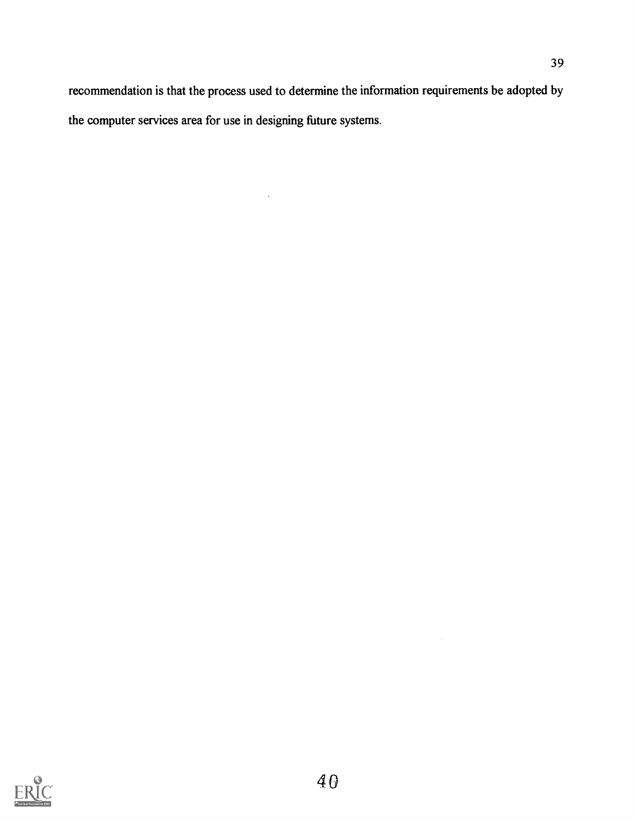recommendation is that the process used to determine the information requirements be adopted by the computer services area for use in designing future systems.

 $\bar{\beta}$ 

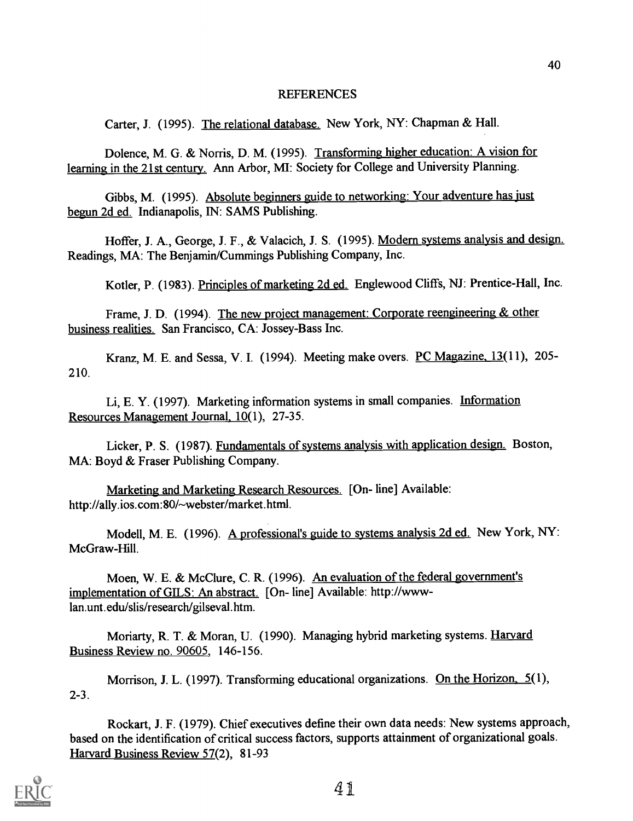### REFERENCES

Carter, J. (1995). The relational database. New York, NY: Chapman & Hall.

Dolence, M. G. & Norris, D. M. (1995). Transforming higher education: A vision for learning in the 21st century. Ann Arbor, MI: Society for College and University Planning.

Gibbs, M. (1995). Absolute beginners guide to networking: Your adventure has just begun 2d ed. Indianapolis, IN: SAMS Publishing.

Hoffer, J. A., George, J. F., & Valacich, J. S. (1995). Modern systems analysis and design. Readings, MA: The Benjamin/Cummings Publishing Company, Inc.

Kotler, P. (1983). Principles of marketing 2d ed. Englewood Cliffs, NJ: Prentice-Hall, Inc.

Frame, J. D. (1994). The new project management: Corporate reengineering & other business realities. San Francisco, CA: Jossey-Bass Inc.

Kranz, M. E. and Sessa, V. I. (1994). Meeting make overs. PC Magazine, 13(11), 205-210.

Li, E. Y. (1997). Marketing information systems in small companies. Information Resources Management Journal, 10(1), 27-35.

Licker, P. S. (1987). Fundamentals of systems analysis with application design. Boston, MA: Boyd & Fraser Publishing Company.

Marketing and Marketing Research Resources. [On- line] Available: http://ally.ios.com:80/~webster/market.html.

Modell, M. E. (1996). A professional's guide to systems analysis 2d ed. New York, NY: McGraw-Hill.

Moen, W. E. & McClure, C. R. (1996). An evaluation of the federal government's implementation of GILS: An abstract. [On- line] Available: http://wwwlan.unt.edu/slis/research/gilseval.htm.

Moriarty, R. T. & Moran, U. (1990). Managing hybrid marketing systems. Harvard Business Review no. 90605, 146-156.

Morrison, J. L. (1997). Transforming educational organizations. On the Horizon, 5(1), 2-3.

Rockart, J. F. (1979). Chief executives define their own data needs: New systems approach, based on the identification of critical success factors, supports attainment of organizational goals. Harvard Business Review 57(2), 81-93

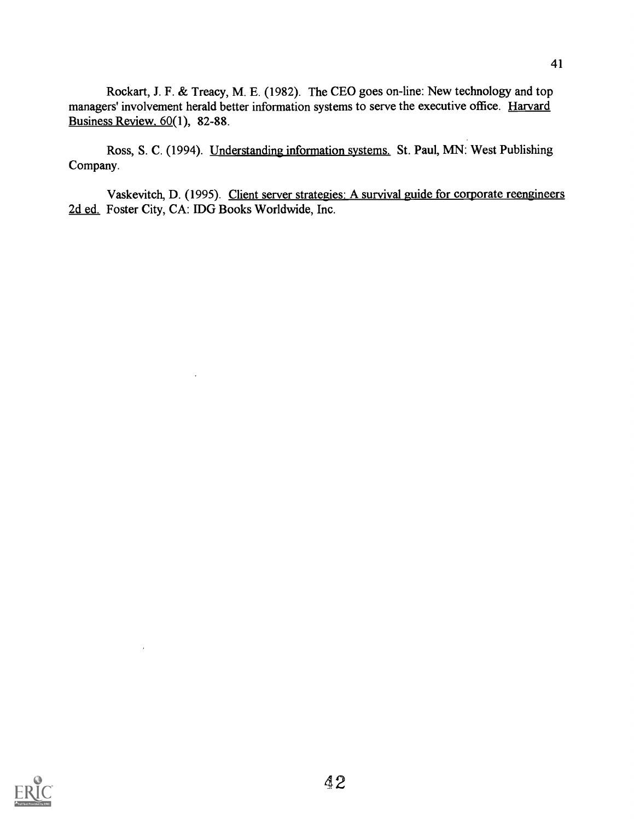Rockart, J. F. & Treacy, M. E. (1982). The CEO goes on-line: New technology and top managers' involvement herald better information systems to serve the executive office. Harvard Business Review, 60(1), 82-88.

Ross, S. C. (1994). Understanding information systems. St. Paul, MN: West Publishing Company.

Vaskevitch, D. (1995). Client server strategies: A survival guide for corporate reengineers 2d ed. Foster City, CA: IDG Books Worldwide, Inc.



 $\overline{\phantom{a}}$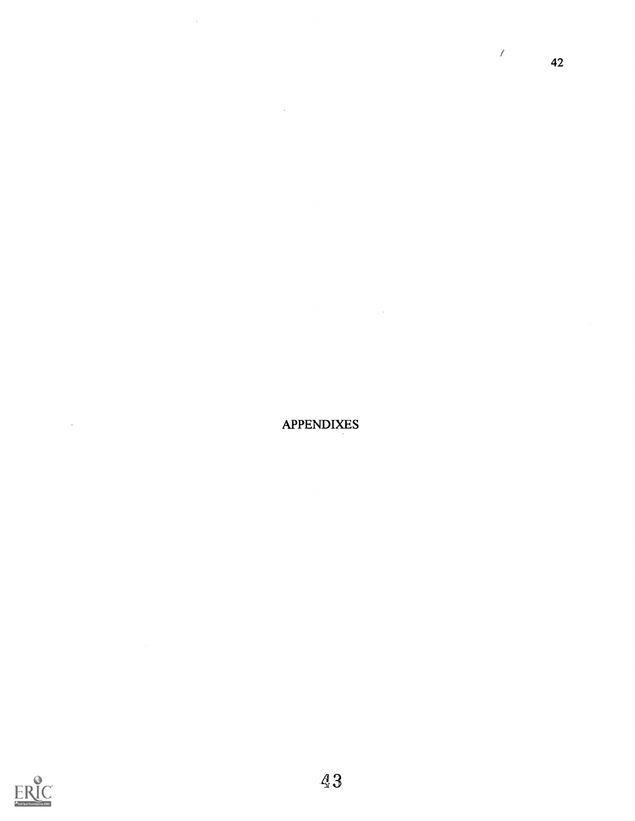APPENDIXES

 $\sim$ 

 $\sim$   $\sim$ 

 $\mathcal{A}^{\mathcal{A}}$ 

 $\mathcal{L}$ 

42



 $\sim$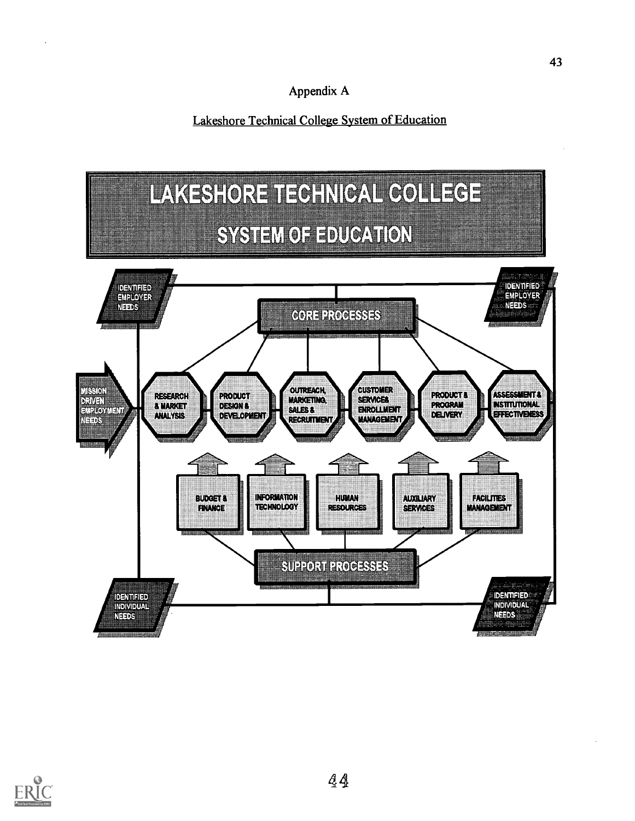Lakeshore Technical College System of Education



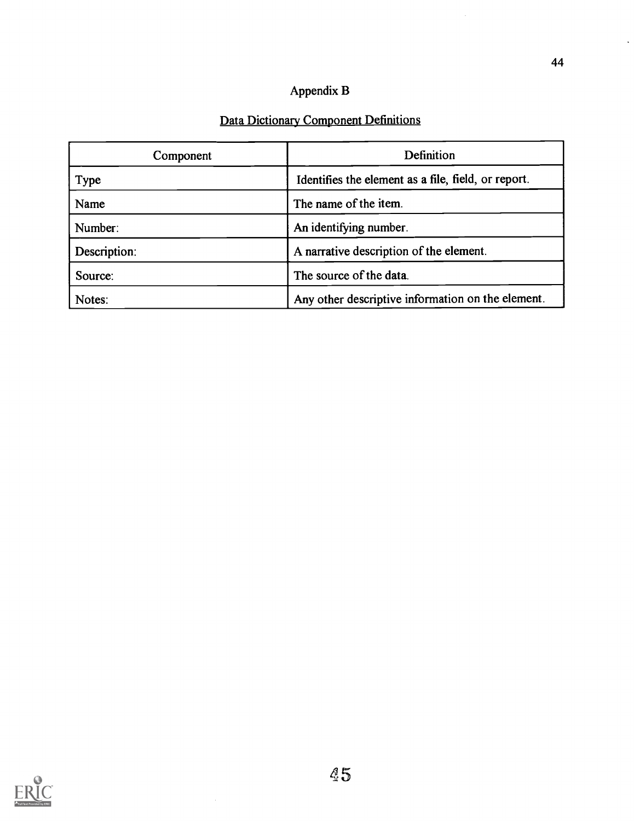# Appendix B

# Data Dictionary Component Definitions

| Component    | Definition                                          |
|--------------|-----------------------------------------------------|
| <b>Type</b>  | Identifies the element as a file, field, or report. |
| Name         | The name of the item.                               |
| Number:      | An identifying number.                              |
| Description: | A narrative description of the element.             |
| Source:      | The source of the data.                             |
| Notes:       | Any other descriptive information on the element.   |



 $\ddot{\phantom{a}}$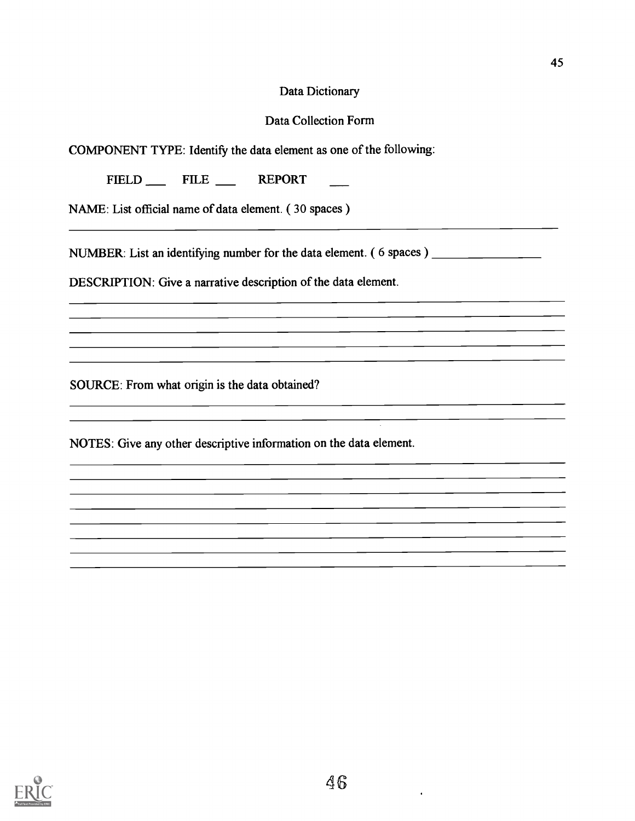## Data Dictionary

## Data Collection Form

COMPONENT TYPE: Identify the data element as one of the following:

FIELD FILE REPORT

NAME: List official name of data element. ( 30 spaces )

NUMBER: List an identifying number for the data element. ( 6 spaces )

<u> 1989 - John Stone, Amerikan besteht der Stone († 1918)</u>

<u> 1989 - Johann Stoff, amerikansk politiker (</u>

DESCRIPTION: Give a narrative description of the data element.

SOURCE: From what origin is the data obtained?

NOTES: Give any other descriptive information on the data element.



 $\bullet$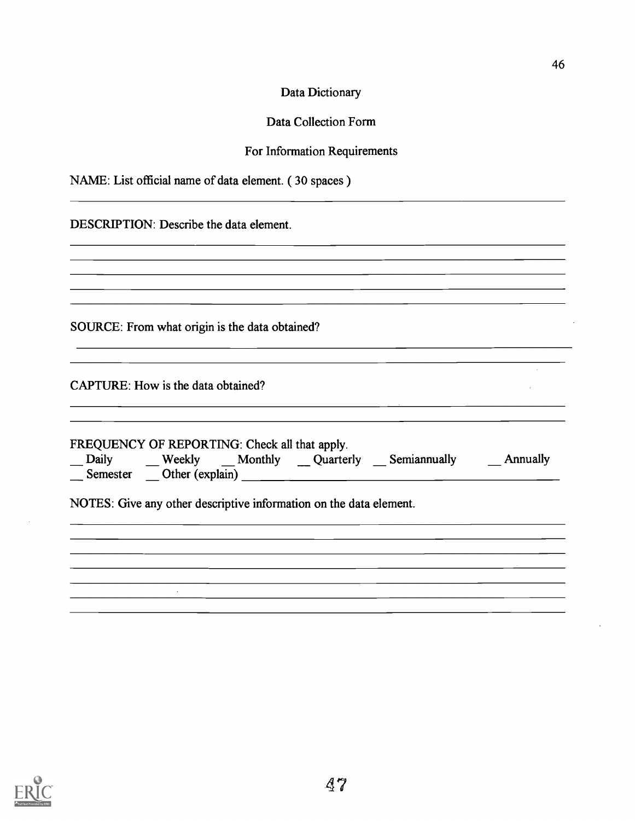| Data Dictionary |
|-----------------|
|-----------------|

## Data Collection Form

## For Information Requirements

<u> 1989 - Jan James James James James James James James James James James James James James James James James J</u>

<u> 1989 - Jan Samuel Barbara, margaret eta idazlea (h. 1989).</u>

## NAME: List official name of data element. ( 30 spaces )

| DESCRIPTION: Describe the data element. |  |
|-----------------------------------------|--|
|-----------------------------------------|--|

SOURCE: From what origin is the data obtained?

<u> 1980 - Johann John Stone, markin fizik eta idazlea (</u>

CAPTURE: How is the data obtained?

 $\sim$ 

| FREQUENCY OF REPORTING: Check all that apply. |                 |                                                                    |              |          |  |
|-----------------------------------------------|-----------------|--------------------------------------------------------------------|--------------|----------|--|
| $\Box$ Daily                                  |                 | Weekly Monthly Quarterly                                           | Semiannually | Annually |  |
| Semester                                      | Other (explain) |                                                                    |              |          |  |
|                                               |                 | NOTES: Give any other descriptive information on the data element. |              |          |  |

<u> 1980 - Johann Stoff, amerikansk politiker (d. 1980)</u>



 $\mathcal{L}^{\pm}$  $\mathcal{L}$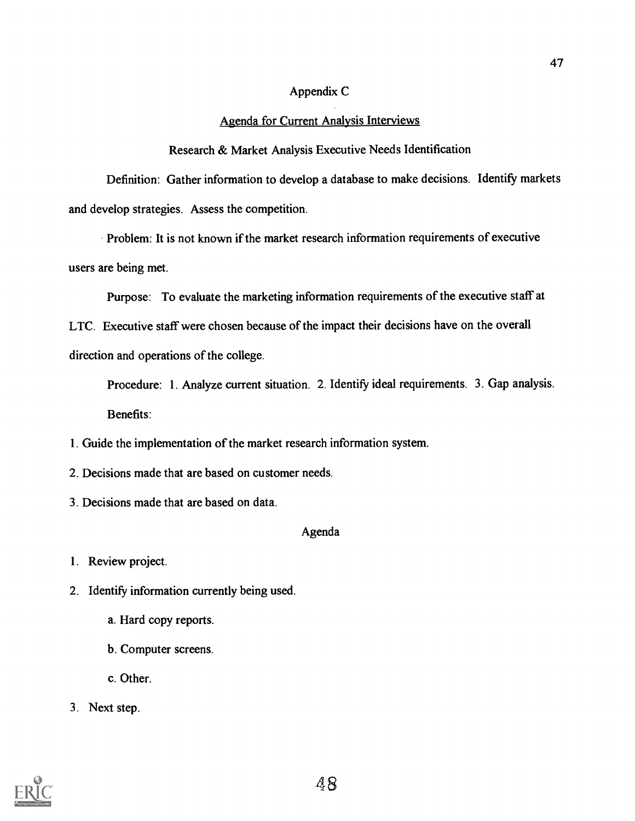## Appendix C

## Agenda for Current Analysis Interviews

Research & Market Analysis Executive Needs Identification

Definition: Gather information to develop a database to make decisions. Identify markets and develop strategies. Assess the competition.

Problem: It is not known if the market research information requirements of executive users are being met.

Purpose: To evaluate the marketing information requirements of the executive staff at LTC. Executive staff were chosen because of the impact their decisions have on the overall

direction and operations of the college.

Procedure: 1. Analyze current situation. 2. Identify ideal requirements. 3. Gap analysis. Benefits:

- 1. Guide the implementation of the market research information system.
- 2. Decisions made that are based on customer needs.
- 3. Decisions made that are based on data.

## Agenda

1. Review project.

2. Identify information currently being used.

- a. Hard copy reports.
- b. Computer screens.
- c. Other.
- 3. Next step.

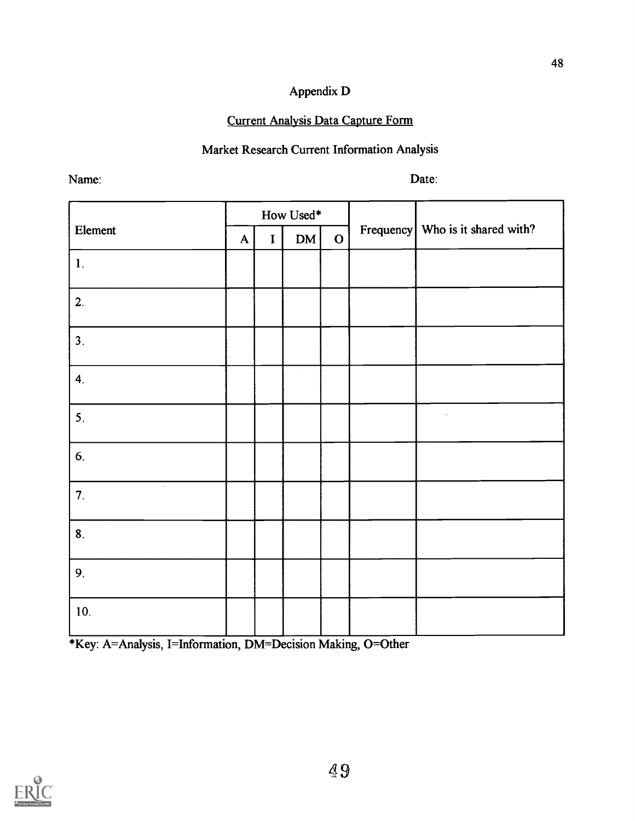## Appendix D

## Current Analysis Data Capture Form

## Market Research Current Information Analysis

Name:

Date:

|                  |           |             | How Used* |             |                                  |
|------------------|-----------|-------------|-----------|-------------|----------------------------------|
| Element          | ${\bf A}$ | $\mathbf I$ | DM        | $\mathbf O$ | Frequency Who is it shared with? |
| $\mathbf{1}$ .   |           |             |           |             |                                  |
| 2.               |           |             |           |             |                                  |
| 3.               |           |             |           |             |                                  |
| $\overline{4}$ . |           |             |           |             |                                  |
| 5.               |           |             |           |             | $\cdot$                          |
| 6.               |           |             |           |             |                                  |
| $\sim$<br>7.     |           |             |           |             |                                  |
| 8.               |           |             |           |             |                                  |
| 9.               |           |             |           |             |                                  |
| 10.              |           |             |           |             |                                  |

\*Key: A=Analysis, I=Information, DM=Decision Making, 0=Other

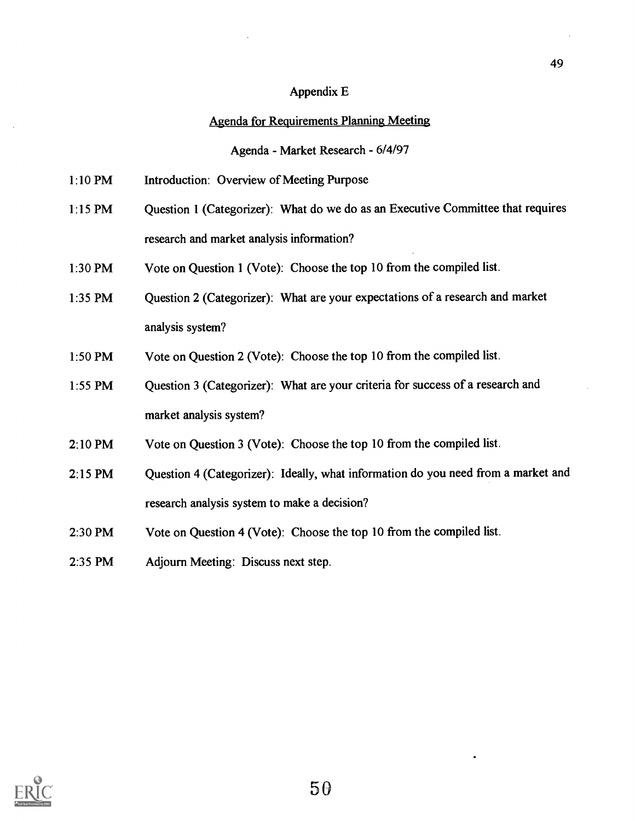### Appendix E

### Agenda for Requirements Planning Meeting

Agenda - Market Research - 6/4/97

- 1:10 PM Introduction: Overview of Meeting Purpose
- 1:15 PM Question 1 (Categorizer): What do we do as an Executive Committee that requires research and market analysis information?
- 1:30 PM Vote on Question 1 (Vote): Choose the top 10 from the compiled list.
- 1:35 PM Question 2 (Categorizer): What are your expectations of a research and market analysis system?
- 1:50 PM Vote on Question 2 (Vote): Choose the top 10 from the compiled list.
- 1:55 PM Question 3 (Categorizer): What are your criteria for success of a research and market analysis system?
- 2:10 PM Vote on Question 3 (Vote): Choose the top 10 from the compiled list.
- 2:15 PM Question 4 (Categorizer): Ideally, what information do you need from a market and research analysis system to make a decision?
- 2:30 PM Vote on Question 4 (Vote): Choose the top 10 from the compiled list.
- 2:35 PM Adjourn Meeting: Discuss next step.

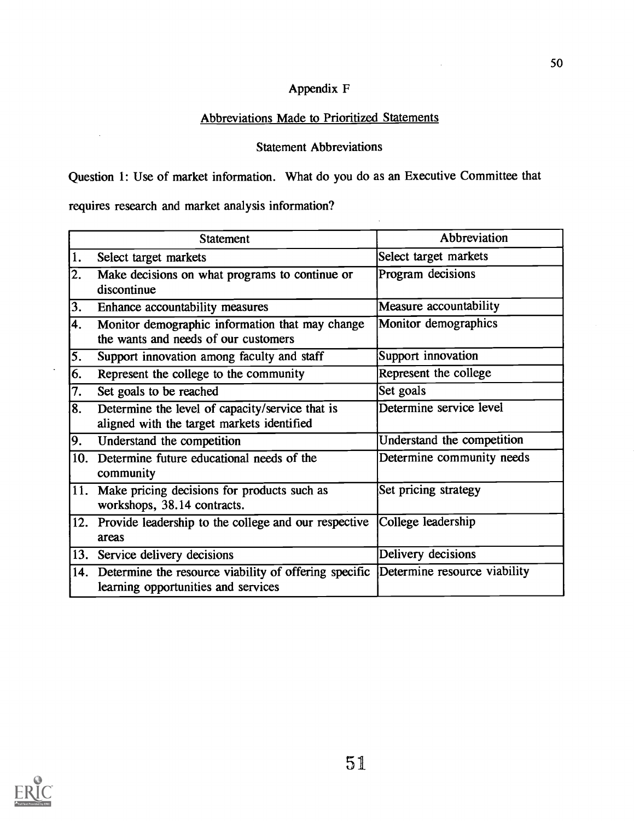## Appendix F

## Abbreviations Made to Prioritized Statements

## Statement Abbreviations

Question 1: Use of market information. What do you do as an Executive Committee that

requires research and market analysis information?

 $\mathcal{A}^{\mathcal{A}}$ 

 $\ddot{\phantom{a}}$ 

|     | <b>Statement</b>                                                                                                              | Abbreviation               |
|-----|-------------------------------------------------------------------------------------------------------------------------------|----------------------------|
| 1.  | Select target markets                                                                                                         | Select target markets      |
| 2.  | Make decisions on what programs to continue or<br>discontinue                                                                 | Program decisions          |
| 3.  | Enhance accountability measures                                                                                               | Measure accountability     |
| 4.  | Monitor demographic information that may change<br>the wants and needs of our customers                                       | Monitor demographics       |
| 5.  | Support innovation among faculty and staff                                                                                    | Support innovation         |
| 6.  | Represent the college to the community                                                                                        | Represent the college      |
| 7.  | Set goals to be reached                                                                                                       | Set goals                  |
| 8.  | Determine the level of capacity/service that is<br>aligned with the target markets identified                                 | Determine service level    |
| 9.  | Understand the competition                                                                                                    | Understand the competition |
| 10. | Determine future educational needs of the<br>community                                                                        | Determine community needs  |
| 11. | Make pricing decisions for products such as<br>workshops, 38.14 contracts.                                                    | Set pricing strategy       |
|     | 12. Provide leadership to the college and our respective<br>areas                                                             | College leadership         |
|     | 13. Service delivery decisions                                                                                                | Delivery decisions         |
|     | 14. Determine the resource viability of offering specific Determine resource viability<br>learning opportunities and services |                            |



 $\bar{z}$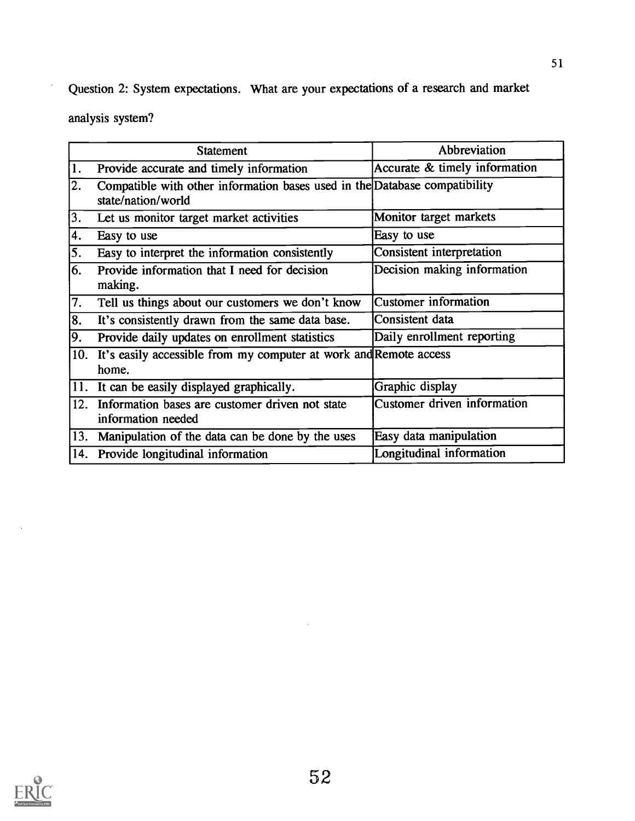Question 2: System expectations. What are your expectations of a research and market

analysis system?

|     | <b>Statement</b>                                                                                 | Abbreviation                  |
|-----|--------------------------------------------------------------------------------------------------|-------------------------------|
| 1.  | Provide accurate and timely information                                                          | Accurate & timely information |
| 2.  | Compatible with other information bases used in the Database compatibility<br>state/nation/world |                               |
| 3.  | Let us monitor target market activities                                                          | Monitor target markets        |
| 4.  | Easy to use                                                                                      | Easy to use                   |
| 5.  | Easy to interpret the information consistently                                                   | Consistent interpretation     |
| 6.  | Provide information that I need for decision<br>making.                                          | Decision making information   |
| 7.  | Tell us things about our customers we don't know                                                 | Customer information          |
| 8.  | It's consistently drawn from the same data base.                                                 | Consistent data               |
| 9.  | Provide daily updates on enrollment statistics                                                   | Daily enrollment reporting    |
|     | 10. It's easily accessible from my computer at work and Remote access<br>home.                   |                               |
|     | 11. It can be easily displayed graphically.                                                      | Graphic display               |
|     | 12. Information bases are customer driven not state<br>information needed                        | Customer driven information   |
| 13. | Manipulation of the data can be done by the uses                                                 | Easy data manipulation        |
|     | 14. Provide longitudinal information                                                             | Longitudinal information      |

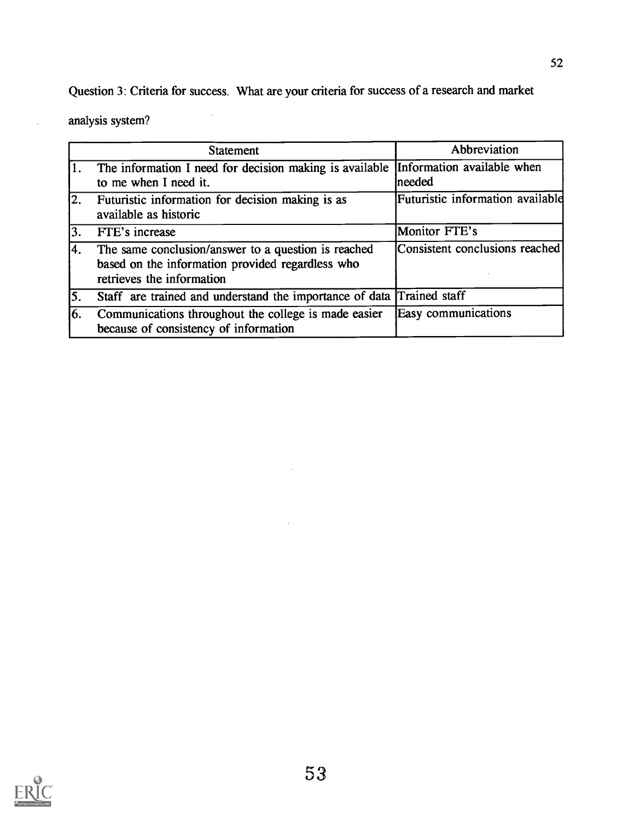Question 3: Criteria for success. What are your criteria for success of a research and market

l,

analysis system?

 $\overline{\phantom{a}}$ 

|     | <b>Statement</b>                                                                                                                     | Abbreviation                          |
|-----|--------------------------------------------------------------------------------------------------------------------------------------|---------------------------------------|
|     | The information I need for decision making is available<br>to me when I need it.                                                     | Information available when<br>Ineeded |
| 2.  | Futuristic information for decision making is as<br>available as historic                                                            | Futuristic information available      |
| 13. | FTE's increase                                                                                                                       | Monitor FTE's                         |
| l4. | The same conclusion/answer to a question is reached<br>based on the information provided regardless who<br>retrieves the information | Consistent conclusions reached        |
| 5.  | Staff are trained and understand the importance of data Trained staff                                                                |                                       |
| 16. | Communications throughout the college is made easier<br>because of consistency of information                                        | Easy communications                   |

 $\bar{z}$ 

 $\ddot{\phantom{a}}$ 

 $\sim 10^7$ 

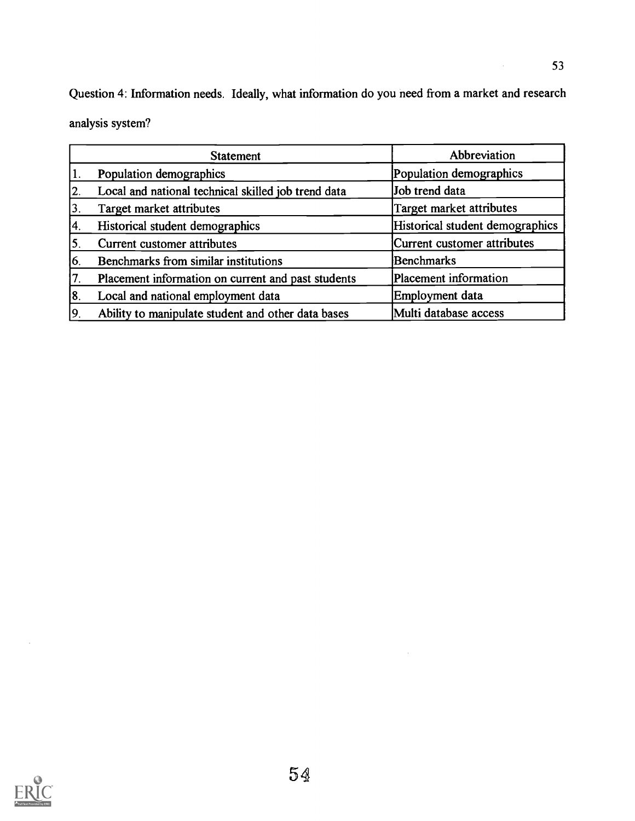Question 4: Information needs. Ideally, what information do you need from a market and research analysis system?

| <b>Statement</b>                                          | Abbreviation                    |
|-----------------------------------------------------------|---------------------------------|
| Population demographics<br>1.                             | Population demographics         |
| Local and national technical skilled job trend data<br>2. | Job trend data                  |
| Target market attributes<br>3,                            | Target market attributes        |
| Historical student demographics<br>14.                    | Historical student demographics |
| $\overline{\mathbf{5}}$<br>Current customer attributes    | Current customer attributes     |
| 6.<br>Benchmarks from similar institutions                | Benchmarks                      |
| 17.<br>Placement information on current and past students | Placement information           |
| 18.<br>Local and national employment data                 | Employment data                 |
| 9.<br>Ability to manipulate student and other data bases  | Multi database access           |



 $\hat{\mathcal{A}}$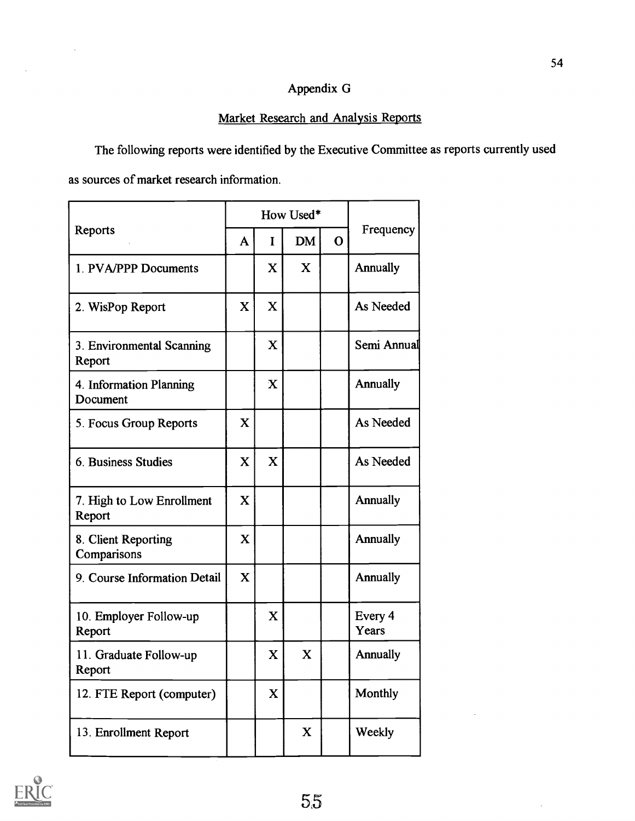## Appendix G

## Market Research and Analysis Reports

The following reports were identified by the Executive Committee as reports currently used as sources of market research information.

|                                     |             | How Used*   |             |             |                  |
|-------------------------------------|-------------|-------------|-------------|-------------|------------------|
| Reports                             | A           | I           | <b>DM</b>   | $\mathbf 0$ | Frequency        |
| 1. PVA/PPP Documents                |             | X           | X           |             | Annually         |
| 2. WisPop Report                    | X           | X           |             |             | As Needed        |
| 3. Environmental Scanning<br>Report |             | $\mathbf X$ |             |             | Semi Annual      |
| 4. Information Planning<br>Document |             | X           |             |             | Annually         |
| 5. Focus Group Reports              | $\mathbf X$ |             |             |             | As Needed        |
| 6. Business Studies                 | X           | X           |             |             | As Needed        |
| 7. High to Low Enrollment<br>Report | X           |             |             |             | Annually         |
| 8. Client Reporting<br>Comparisons  | X           |             |             |             | Annually         |
| 9. Course Information Detail        | X           |             |             |             | Annually         |
| 10. Employer Follow-up<br>Report    |             | X           |             |             | Every 4<br>Years |
| 11. Graduate Follow-up<br>Report    |             | $\mathbf X$ | $\mathbf X$ |             | Annually         |
| 12. FTE Report (computer)           |             | X           |             |             | Monthly          |
| 13. Enrollment Report               |             |             | X           |             | Weekly           |

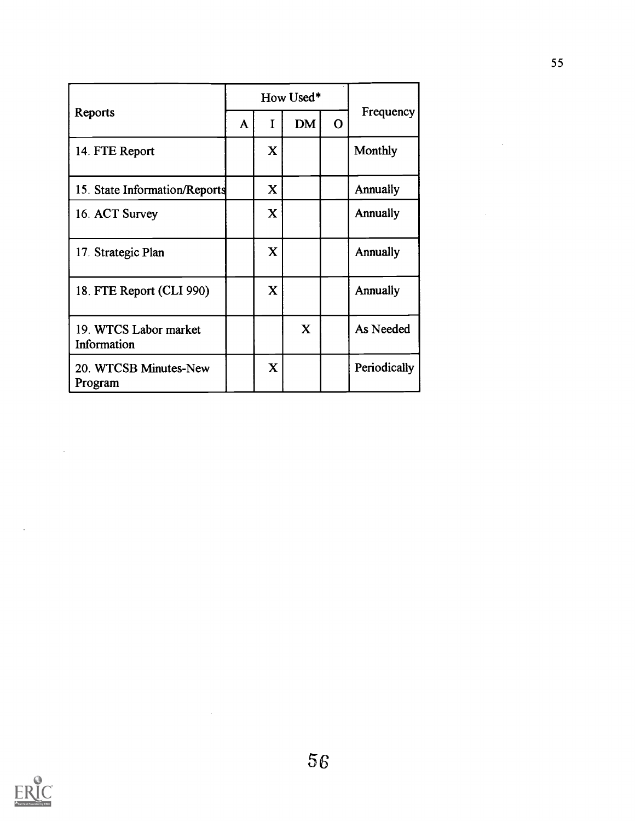|                                      |   |             | How Used* |             |              |
|--------------------------------------|---|-------------|-----------|-------------|--------------|
| Reports                              | A | I           | <b>DM</b> | $\mathbf O$ | Frequency    |
| 14. FTE Report                       |   | X           |           |             | Monthly      |
| 15. State Information/Reports        |   | $\bf{X}$    |           |             | Annually     |
| 16. ACT Survey                       |   | $\mathbf X$ |           |             | Annually     |
| 17. Strategic Plan                   |   | $\mathbf X$ |           |             | Annually     |
| 18. FTE Report (CLI 990)             |   | X           |           |             | Annually     |
| 19. WTCS Labor market<br>Information |   |             | X         |             | As Needed    |
| 20. WTCSB Minutes-New<br>Program     |   | $\mathbf X$ |           |             | Periodically |



J.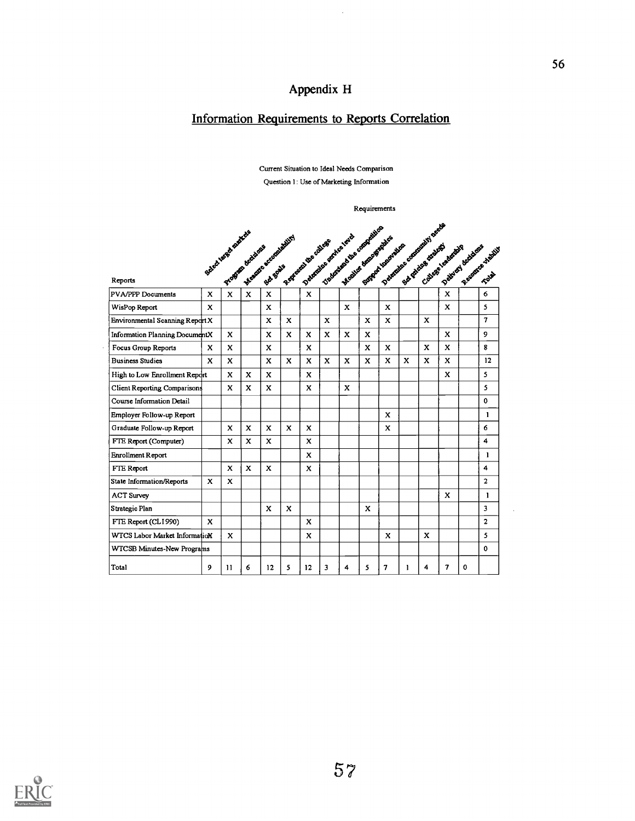# Appendix H

 $\hat{\mathcal{A}}$ 

# Information Requirements to Reports Correlation

Current Situation to Ideal Needs Comparison Question 1: Use of Marketing Information

Requirements

|                                     |              |    |   | Select using discrete declared according |             | B. Afrance Liberalist |              | Toplanda due criere des<br>Debauteur seniver lend<br>Moodus Moorental | SOFFERE INSURANCE |              |   | Debroides e someonelist penda<br>Sub posses strategi |              | Patrick of Bank of Bank of Bank of |                   |
|-------------------------------------|--------------|----|---|------------------------------------------|-------------|-----------------------|--------------|-----------------------------------------------------------------------|-------------------|--------------|---|------------------------------------------------------|--------------|------------------------------------|-------------------|
| Reports                             |              |    |   |                                          |             |                       |              |                                                                       |                   |              |   |                                                      |              |                                    |                   |
| <b>PVA/PPP Documents</b>            |              |    |   |                                          |             | $\mathbf{x}$          |              |                                                                       |                   |              |   |                                                      |              |                                    |                   |
| WisPop Report                       | X            |    |   | $\mathbf x$                              |             |                       |              | X                                                                     |                   | $\mathbf{x}$ |   |                                                      | x            |                                    | 5                 |
| Environmental Scanning Report X     |              |    |   | X                                        | x           |                       | x            |                                                                       | X                 | x            |   | x                                                    |              |                                    | $\mathbf{7}$      |
| Information Planning DocumentX      |              | X  |   | x                                        | x           | x                     | x            | x                                                                     | x                 |              |   |                                                      | x            |                                    | 9                 |
| Focus Group Reports                 | x            | x  |   | X                                        |             | x                     |              |                                                                       | x                 | x            |   | X                                                    | X.           |                                    | 8                 |
| <b>Business Studies</b>             | X            | X  |   | $\mathbf x$                              | $\mathbf x$ | X.                    | $\mathbf{x}$ | X                                                                     | X                 | x            | X | x                                                    | x            |                                    | $12 \overline{ }$ |
| High to Low Enrollment Report       |              | x  | X | x                                        |             | X                     |              |                                                                       |                   |              |   |                                                      | x            |                                    | 5                 |
| <b>Client Reporting Comparisons</b> |              | x  | x | x                                        |             | x                     |              | x                                                                     |                   |              |   |                                                      |              |                                    | 5                 |
| Course Information Detail           |              |    |   |                                          |             |                       |              |                                                                       |                   |              |   |                                                      |              |                                    | $\mathbf 0$       |
| Employer Follow-up Report           |              |    |   |                                          |             |                       |              |                                                                       |                   | X            |   |                                                      |              |                                    | $\mathbf{I}$      |
| Graduate Follow-up Report           |              | X  | x | x                                        | x           | x                     |              |                                                                       |                   | X            |   |                                                      |              |                                    | 6                 |
| FTE Report (Computer)               |              | X  | x | x                                        |             | x                     |              |                                                                       |                   |              |   |                                                      |              |                                    | 4                 |
| Enrollment Report                   |              |    |   |                                          |             | x                     |              |                                                                       |                   |              |   |                                                      |              |                                    | 1                 |
| FTE Report                          |              | X  | X | X                                        |             | x                     |              |                                                                       |                   |              |   |                                                      |              |                                    | 4                 |
| State Information/Reports           | $\mathbf{x}$ | X  |   |                                          |             |                       |              |                                                                       |                   |              |   |                                                      |              |                                    | $\overline{2}$    |
| <b>ACT Survey</b>                   |              |    |   |                                          |             |                       |              |                                                                       |                   |              |   |                                                      | x            |                                    | $\mathbf{1}$      |
| Strategic Plan                      |              |    |   | X                                        | X           |                       |              |                                                                       | x                 |              |   |                                                      |              |                                    | 3                 |
| FTE Report (CLI990)                 | X            |    |   |                                          |             | $\mathbf{x}$          |              |                                                                       |                   |              |   |                                                      |              |                                    | $\mathbf{z}$      |
| WTCS Labor Market InformatioN       |              | x  |   |                                          |             | x                     |              |                                                                       |                   | $\mathbf x$  |   | x                                                    |              |                                    | 5                 |
| WTCSB Minutes-New Programs          |              |    |   |                                          |             |                       |              |                                                                       |                   |              |   |                                                      |              |                                    | $\Omega$          |
| Total                               | 9            | 11 | 6 | 12                                       | 5           | 12                    | 3            | 4                                                                     | 5                 | 7            | 1 | 4                                                    | $\mathbf{7}$ | $\Omega$                           |                   |

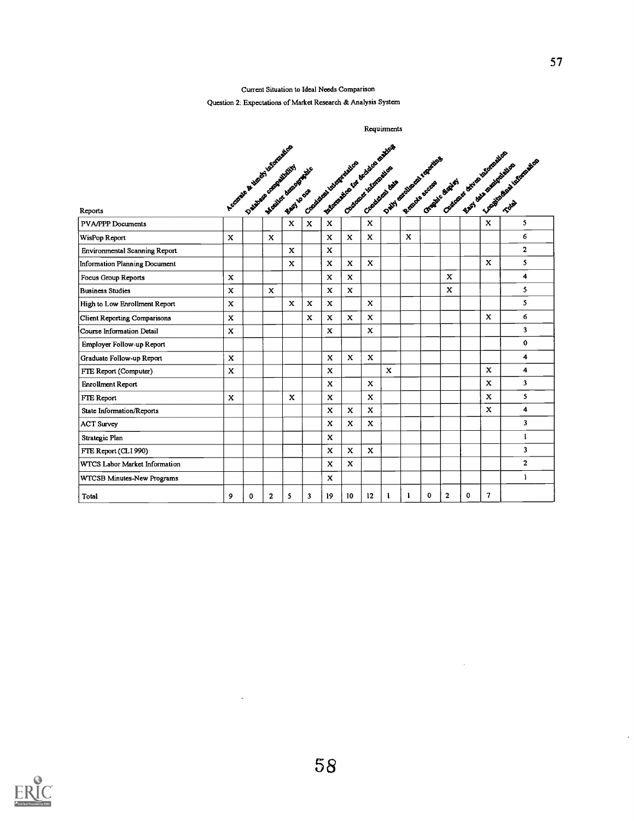#### Current Situation to Ideal Needs Comparison

### Question 2: Expectations of Market Research & Analysis System

| Reports                              |              | A COONELLE BY SOMETIME ROOM WAS TOO THE PARTY |              |              |             |              | - Management of decision oxicity<br>Classical ideas of the classical | Creatives data |              |              | David analysis degrades<br>Canadic Brotin's |                | Constraint British Assembly of |              | East of the production | Lucasions of Montage and |
|--------------------------------------|--------------|-----------------------------------------------|--------------|--------------|-------------|--------------|----------------------------------------------------------------------|----------------|--------------|--------------|---------------------------------------------|----------------|--------------------------------|--------------|------------------------|--------------------------|
| <b>PVA/PPP Documents</b>             |              |                                               |              |              |             | $\mathbf{x}$ |                                                                      | $\mathbf x$    |              |              |                                             |                |                                | $\mathbf{x}$ |                        | 5                        |
| WisPop Report                        | X            |                                               | $\mathbf x$  |              |             | $\mathbf x$  | X                                                                    | $\mathbf{x}$   |              | $\mathbf{x}$ |                                             |                |                                |              |                        | 6                        |
| <b>Environmental Scanning Report</b> |              |                                               |              | $\mathbf{x}$ |             | X            |                                                                      |                |              |              |                                             |                |                                |              |                        | $\overline{2}$           |
| Information Planning Document        |              |                                               |              | $\mathbf{x}$ |             | $\mathbf x$  | $\mathbf{x}$                                                         | $\mathbf{x}$   |              |              |                                             |                |                                | X            |                        | 5                        |
| Focus Group Reports                  | $\mathbf{x}$ |                                               |              |              |             | X            | X                                                                    |                |              |              |                                             | X              |                                |              |                        | $\overline{\mathbf{4}}$  |
| <b>Business Studies</b>              | $\mathbf{x}$ |                                               | $\mathbf x$  |              |             | X            | $\mathbf{x}$                                                         |                |              |              |                                             | X              |                                |              |                        | 5                        |
| High to Low Enrollment Report        | $\mathbf x$  |                                               |              | $\mathbf x$  | $\mathbf x$ | $\mathbf x$  |                                                                      | $\mathbf x$    |              |              |                                             |                |                                |              |                        | 5                        |
| <b>Client Reporting Comparisons</b>  | X            |                                               |              |              | X           | X            | X                                                                    | $\mathbf x$    |              |              |                                             |                |                                | X            |                        | 6                        |
| Course Information Detail            | $\mathbf x$  |                                               |              |              |             | $\mathbf x$  |                                                                      | X              |              |              |                                             |                |                                |              |                        | 3                        |
| Employer Follow-up Report            |              |                                               |              |              |             |              |                                                                      |                |              |              |                                             |                |                                |              |                        | $\mathbf 0$              |
| Graduate Follow-up Report            | $\mathbf x$  |                                               |              |              |             | $\mathbf{x}$ | X                                                                    | $\mathbf{x}$   |              |              |                                             |                |                                |              |                        | 4                        |
| FTE Report (Computer)                | $\mathbf x$  |                                               |              |              |             | X            |                                                                      |                | $\mathbf{x}$ |              |                                             |                |                                | X            |                        | 4                        |
| Enrollment Report                    |              |                                               |              |              |             | X            |                                                                      | X              |              |              |                                             |                |                                | X            |                        | 3                        |
| FTE Report                           | $\mathbf{x}$ |                                               |              | X            |             | X            |                                                                      | $\mathbf{x}$   |              |              |                                             |                |                                | $\mathbf x$  |                        | 5                        |
| State Information/Reports            |              |                                               |              |              |             | X            | $\mathbf{x}$                                                         | $\mathbf x$    |              |              |                                             |                |                                | X            |                        | 4                        |
| <b>ACT Survey</b>                    |              |                                               |              |              |             | X            | X                                                                    | X              |              |              |                                             |                |                                |              |                        | $\overline{\mathbf{3}}$  |
| Strategic Plan                       |              |                                               |              |              |             | X            |                                                                      |                |              |              |                                             |                |                                |              |                        | 1                        |
| FTE Report (CLI 990)                 |              |                                               |              |              |             | X            | X                                                                    | X              |              |              |                                             |                |                                |              |                        | 3                        |
| WTCS Labor Market Information        |              |                                               |              |              |             | X            | $\mathbf{x}$                                                         |                |              |              |                                             |                |                                |              |                        | $\overline{2}$           |
| WTCSB Minutes-New Programs           |              |                                               |              |              |             | X            |                                                                      |                |              |              |                                             |                |                                |              |                        | $\mathbf{I}$             |
| Total                                | 9            | $\mathbf 0$                                   | $\mathbf{2}$ | 5            | 3           | 19           | 10                                                                   | 12             | 1            |              | 0                                           | $\overline{2}$ | $\mathbf 0$                    | $\mathbf{7}$ |                        |                          |





 $\ddot{\phantom{a}}$ 

 $\mathcal{A}$ 

 $\ddot{\phantom{a}}$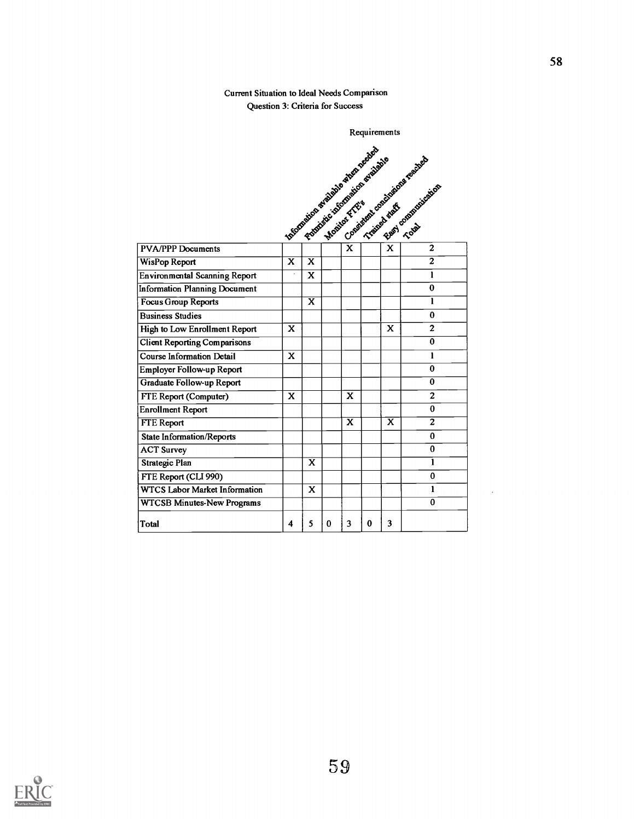### Current Situation to Ideal Needs Comparison Question 3: Criteria for Success

|                                      |                                                    |                         |          |                         |          | Requirements            |                                                           |
|--------------------------------------|----------------------------------------------------|-------------------------|----------|-------------------------|----------|-------------------------|-----------------------------------------------------------|
|                                      | I Islamatical division and property and address of |                         |          |                         |          |                         | LOokieterst conclusions rendered<br>East of Demonstration |
| <b>PVA/PPP Documents</b>             |                                                    |                         |          |                         |          |                         | $\mathbf{2}$                                              |
| <b>WisPop Report</b>                 | $\overline{\mathbf{x}}$                            | $\overline{\mathbf{x}}$ |          |                         |          |                         | $\overline{2}$                                            |
| <b>Environmental Scanning Report</b> |                                                    | X                       |          |                         |          |                         | $\mathbf{1}$                                              |
| <b>Information Planning Document</b> |                                                    |                         |          |                         |          |                         | $\bf{0}$                                                  |
| Focus Group Reports                  |                                                    | $\overline{\mathbf{x}}$ |          |                         |          |                         | $\mathbf{1}$                                              |
| <b>Business Studies</b>              |                                                    |                         |          |                         |          |                         | $\bf{0}$                                                  |
| High to Low Enrollment Report        | $\mathbf x$                                        |                         |          |                         |          | X                       | $\overline{2}$                                            |
| <b>Client Reporting Comparisons</b>  |                                                    |                         |          |                         |          |                         | $\overline{\mathfrak{o}}$                                 |
| <b>Course Information Detail</b>     | X                                                  |                         |          |                         |          |                         | $\mathbf{I}$                                              |
| <b>Employer Follow-up Report</b>     |                                                    |                         |          |                         |          |                         | $\pmb{0}$                                                 |
| Graduate Follow-up Report            |                                                    |                         |          |                         |          |                         | $\overline{0}$                                            |
| FTE Report (Computer)                | X                                                  |                         |          | $\overline{\mathbf{x}}$ |          |                         | $\mathbf{2}$                                              |
| <b>Enrollment Report</b>             |                                                    |                         |          |                         |          |                         | $\bf{0}$                                                  |
| <b>FTE Report</b>                    |                                                    |                         |          | $\overline{\mathbf{x}}$ |          | $\overline{\mathbf{x}}$ | $\overline{2}$                                            |
| <b>State Information/Reports</b>     |                                                    |                         |          |                         |          |                         | $\bf{0}$                                                  |
| <b>ACT Survey</b>                    |                                                    |                         |          |                         |          |                         | $\bf{0}$                                                  |
| <b>Strategic Plan</b>                |                                                    | X                       |          |                         |          |                         | $\mathbf{1}$                                              |
| FTE Report (CLI 990)                 |                                                    |                         |          |                         |          |                         | $\bf{0}$                                                  |
| <b>WTCS Labor Market Information</b> |                                                    | X                       |          |                         |          |                         | 1                                                         |
| <b>WTCSB Minutes-New Programs</b>    |                                                    |                         |          |                         |          |                         | $\bf{0}$                                                  |
| <b>Total</b>                         | $\overline{\mathbf{4}}$                            | 5                       | $\bf{0}$ | $\overline{\mathbf{3}}$ | $\bf{0}$ | 3                       |                                                           |

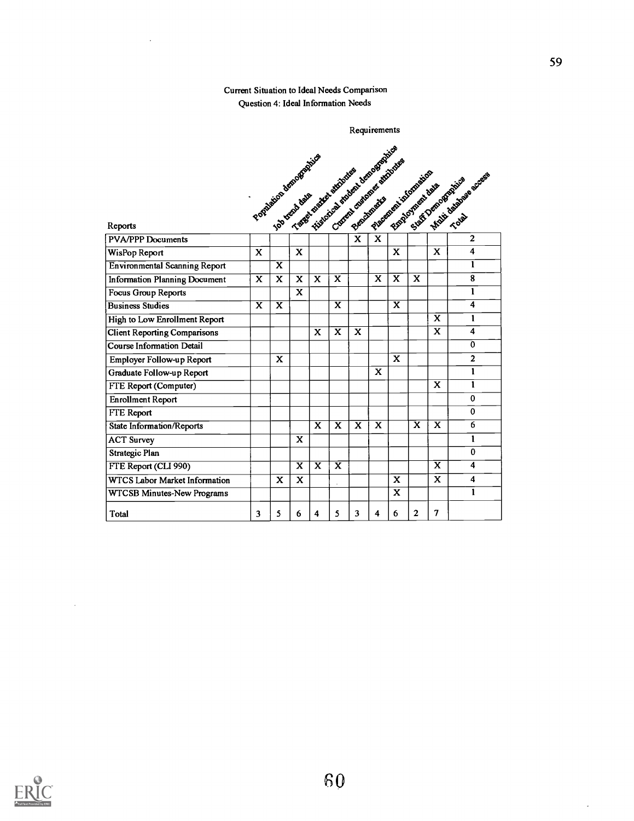### Current Situation to Ideal Needs Comparison Question 4: Ideal Information Needs

 $\overline{\phantom{a}}$ 

|                                      | Poplation dangerous developed |                         |                         |                         |                         |                         |                         | - Xistorical england beno exceptably                     |                         |                         |                         |
|--------------------------------------|-------------------------------|-------------------------|-------------------------|-------------------------|-------------------------|-------------------------|-------------------------|----------------------------------------------------------|-------------------------|-------------------------|-------------------------|
|                                      |                               |                         |                         |                         |                         |                         |                         | Cookerst chairman air straighter<br>Planeton internation |                         |                         | -Malti delabora access  |
|                                      |                               |                         |                         |                         |                         |                         |                         | Elsen Asylvent days                                      |                         |                         | Suite Demographies      |
|                                      |                               |                         |                         |                         |                         |                         |                         |                                                          |                         |                         |                         |
| Reports                              |                               |                         |                         |                         |                         |                         |                         |                                                          |                         |                         |                         |
| <b>PVA/PPP Documents</b>             |                               |                         |                         |                         |                         | $\mathbf x$             | $\mathbf x$             |                                                          |                         |                         | $\overline{2}$          |
| WisPop Report                        | $\mathbf{x}$                  |                         | $\mathbf x$             |                         |                         |                         |                         | X                                                        |                         | X                       | $\boldsymbol{4}$        |
| <b>Environmental Scanning Report</b> |                               | $\overline{\mathbf{x}}$ |                         |                         |                         |                         |                         |                                                          |                         |                         | 1                       |
| <b>Information Planning Document</b> | $\overline{\mathbf{x}}$       | X                       | X                       | X                       | X                       |                         | $\mathbf x$             | $\overline{\mathbf{x}}$                                  | $\mathbf x$             |                         | 8                       |
| Focus Group Reports                  |                               |                         | $\mathbf{x}$            |                         |                         |                         |                         |                                                          |                         |                         | 1                       |
| <b>Business Studies</b>              | $\overline{\mathbf{x}}$       | $\overline{\mathbf{x}}$ |                         |                         | $\overline{\mathbf{x}}$ |                         |                         | $\overline{\mathbf{x}}$                                  |                         |                         | $\overline{\mathbf{4}}$ |
| High to Low Enrollment Report        |                               |                         |                         |                         |                         |                         |                         |                                                          |                         | X                       | 1                       |
| <b>Client Reporting Comparisons</b>  |                               |                         |                         | X                       | $\overline{\mathbf{x}}$ | $\mathbf x$             |                         |                                                          |                         | $\overline{\mathbf{x}}$ | 4                       |
| <b>Course Information Detail</b>     |                               |                         |                         |                         |                         |                         |                         |                                                          |                         |                         | $\bf{0}$                |
| Employer Follow-up Report            |                               | $\mathbf X$             |                         |                         |                         |                         |                         | $\mathbf x$                                              |                         |                         | $\overline{2}$          |
| Graduate Follow-up Report            |                               |                         |                         |                         |                         |                         | X                       |                                                          |                         |                         | $\mathbf{1}$            |
| FTE Report (Computer)                |                               |                         |                         |                         |                         |                         |                         |                                                          |                         | X                       | 1                       |
| <b>Enrollment Report</b>             |                               |                         |                         |                         |                         |                         |                         |                                                          |                         |                         | $\bf{0}$                |
| FTE Report                           |                               |                         |                         |                         |                         |                         |                         |                                                          |                         |                         | $\Omega$                |
| <b>State Information/Reports</b>     |                               |                         |                         | $\overline{\mathbf{x}}$ | $\overline{\mathbf{x}}$ | $\overline{\mathbf{x}}$ | $\overline{\mathbf{x}}$ |                                                          | $\overline{\mathbf{x}}$ | X                       | 6                       |
| ACT Survey                           |                               |                         | X                       |                         |                         |                         |                         |                                                          |                         |                         | 1                       |
| <b>Strategic Plan</b>                |                               |                         |                         |                         |                         |                         |                         |                                                          |                         |                         | $\Omega$                |
| FTE Report (CLI 990)                 |                               |                         | $\overline{\mathbf{x}}$ | $\overline{\mathbf{x}}$ | $\overline{\mathbf{x}}$ |                         |                         |                                                          |                         | X                       | 4                       |
| <b>WTCS Labor Market Information</b> |                               | X                       | X                       |                         |                         |                         |                         | X                                                        |                         | $\mathbf x$             | 4                       |
| WTCSB Minutes-New Programs           |                               |                         |                         |                         |                         |                         |                         | $\mathbf{x}$                                             |                         |                         | $\mathbf{I}$            |
| Total                                | 3                             | 5                       | 6                       | 4                       | 5                       | 3                       | 4                       | 6                                                        | $\overline{2}$          | 7                       |                         |



 $\hat{\mathcal{A}}$ 

59

 $\mathcal{L}$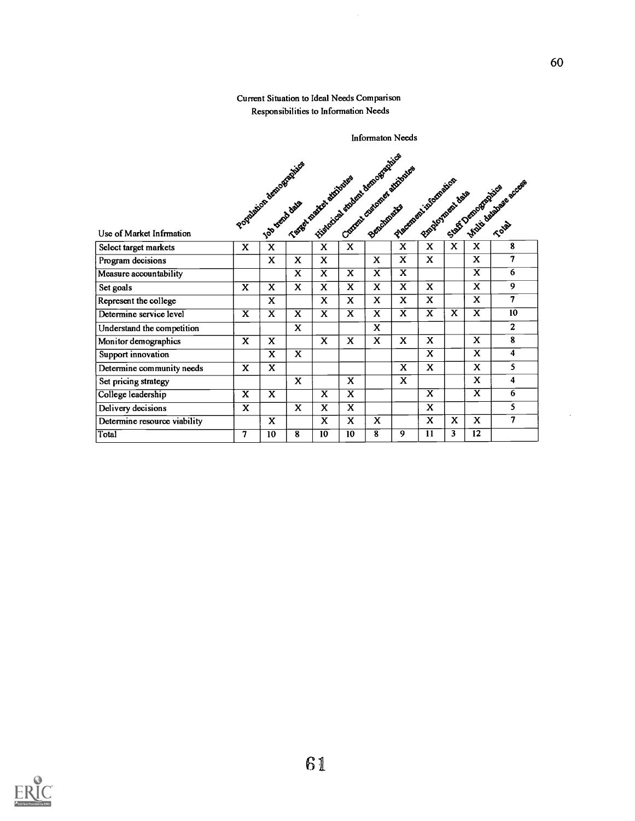### Current Situation to Ideal Needs Comparison Responsibilities to Information Needs

|                              |                         |                         |                         | Population abmosphere design states and development of the states and |                         |                         |                         |                         |                         |                         |                                     |
|------------------------------|-------------------------|-------------------------|-------------------------|-----------------------------------------------------------------------|-------------------------|-------------------------|-------------------------|-------------------------|-------------------------|-------------------------|-------------------------------------|
|                              |                         |                         |                         |                                                                       |                         |                         |                         |                         |                         |                         |                                     |
|                              |                         |                         |                         |                                                                       |                         |                         |                         | Placement into provides |                         |                         | Environment days a procedure access |
|                              |                         |                         |                         |                                                                       |                         |                         |                         |                         |                         |                         |                                     |
|                              |                         |                         |                         |                                                                       |                         |                         |                         |                         |                         |                         |                                     |
| Use of Market Infrmation     |                         |                         |                         |                                                                       |                         |                         |                         |                         |                         |                         |                                     |
| Select target markets        | X                       | X                       |                         | X                                                                     | X                       |                         | X                       | X.                      | X                       | X                       | 8                                   |
| Program decisions            |                         | X                       | X                       | X                                                                     |                         | X                       | X                       | x                       |                         | X                       | 7                                   |
| Measure accountability       |                         |                         | X                       | $\overline{\mathbf{x}}$                                               | $\overline{\mathbf{x}}$ | $\overline{\mathbf{x}}$ | $\overline{\mathbf{x}}$ |                         |                         | X                       | $6\overline{6}$                     |
| Set goals                    | X                       | X                       | X                       | X                                                                     | X                       | $\mathbf{x}$            | X                       | X                       |                         | X                       | 9                                   |
| Represent the college        |                         | X                       |                         | X                                                                     | X                       | X                       | X                       | X.                      |                         | X                       | 7                                   |
| Determine service level      | $\overline{\mathbf{x}}$ | $\overline{\mathbf{x}}$ | $\overline{\mathbf{x}}$ | $\mathbf x$                                                           | $\overline{\mathbf{x}}$ | X                       | $\overline{\textbf{x}}$ | $\overline{\textbf{x}}$ | $\overline{\mathbf{x}}$ | $\overline{\mathbf{x}}$ | 10                                  |
| Understand the competition   |                         |                         | $\mathbf{x}$            |                                                                       |                         | X                       |                         |                         |                         |                         | $\overline{2}$                      |
| Monitor demographics         | X                       | X                       |                         | X                                                                     | X                       | X                       | X                       | X                       |                         | X                       | 8                                   |
| Support innovation           |                         | X                       | X                       |                                                                       |                         |                         |                         | X                       |                         | $\overline{\mathbf{x}}$ | $\overline{4}$                      |
| Determine community needs    | X                       | X                       |                         |                                                                       |                         |                         | X                       | X.                      |                         | X                       | 5                                   |
| Set pricing strategy         |                         |                         | X                       |                                                                       | X                       |                         | X                       |                         |                         | X                       | 4                                   |
| College leadership           | X                       | X                       |                         | $\overline{\mathbf{x}}$                                               | $\overline{\mathbf{x}}$ |                         |                         | $\overline{\mathbf{x}}$ |                         | $\overline{\textbf{x}}$ | 6                                   |
| Delivery decisions           | X.                      |                         | $\mathbf{x}$            | X                                                                     | X                       |                         |                         | $\mathbf x$             |                         |                         | 5                                   |
| Determine resource viability |                         | X                       |                         | X                                                                     | X                       | $\mathbf x$             |                         | X                       | X                       | X                       | 7                                   |
| Total                        | 7                       | 10                      | 8                       | 10                                                                    | 10                      | $\overline{\mathbf{8}}$ | 9                       | 11                      | 3                       | 12                      |                                     |

Informaton Needs



 $\hat{\boldsymbol{\gamma}}$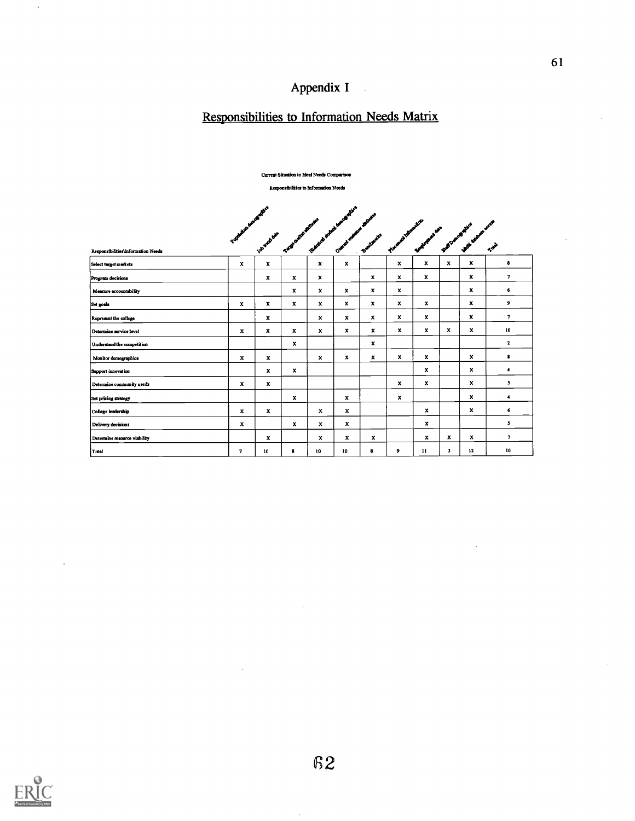# Appendix I

# Responsibilities to Information Needs Matrix

|                                    |                         |              |              | Current Situation to Ideal Needs Comparison                                                                                                                                                                                    |                           |                         |              |                           |              |                               |                      |
|------------------------------------|-------------------------|--------------|--------------|--------------------------------------------------------------------------------------------------------------------------------------------------------------------------------------------------------------------------------|---------------------------|-------------------------|--------------|---------------------------|--------------|-------------------------------|----------------------|
|                                    |                         |              |              | Responsibilities to Information Needs                                                                                                                                                                                          |                           |                         |              |                           |              |                               |                      |
|                                    |                         |              |              |                                                                                                                                                                                                                                |                           |                         |              |                           |              |                               |                      |
|                                    |                         |              |              |                                                                                                                                                                                                                                |                           |                         |              |                           |              |                               |                      |
|                                    |                         |              |              | Andrew South Company and the company of the company of the company of the company of the company of the company of the company of the company of the company of the company of the company of the company of the company of th |                           | <b>CONTROLLER STATE</b> |              | Proceed and Manual River  |              | S. W. British Ash . Ash . Ash |                      |
| Responsibilities/Information Needs |                         |              |              |                                                                                                                                                                                                                                |                           |                         |              |                           |              |                               |                      |
| Select turget murkets              | x                       | $\pmb{\chi}$ |              | $\mathbf{x}$                                                                                                                                                                                                                   | $\mathbf{x}$              |                         | $\mathbf{x}$ | $\boldsymbol{\mathrm{x}}$ | x            | x                             | $\pmb{\ast}$         |
| Program decisions                  |                         | x            | x            | x                                                                                                                                                                                                                              |                           | x                       | x            | x                         |              | $\mathbf x$                   | 7                    |
| Measure accountability             |                         |              | $\mathbf x$  | $\mathbf x$                                                                                                                                                                                                                    | x                         | x                       | x            |                           |              | $\mathbf{x}$                  | 6                    |
| Set goals                          | x                       | x            | $\mathbf{x}$ | $\mathbf{x}$                                                                                                                                                                                                                   | $\mathbf{x}$              | x                       | x            | x                         |              | x                             | ,                    |
| Represent the college              |                         | x            |              | x                                                                                                                                                                                                                              | $\mathbf{x}$              | $\mathbf x$             | $\mathbf{x}$ | x                         |              | x                             | $\mathbf{7}$         |
| Determine service level            | x                       | $\mathbf x$  | $\mathbf{x}$ | $\mathbf{x}$                                                                                                                                                                                                                   | $\boldsymbol{\mathsf{x}}$ | x                       | $\mathbf{x}$ | $\mathbf{x}$              | x            | x                             | 10                   |
| Understand the competition         |                         |              | x            |                                                                                                                                                                                                                                |                           | $\mathbf{x}$            |              |                           |              |                               | $\mathbf{2}$         |
| Monitor demographics               | x                       | x            |              | x                                                                                                                                                                                                                              | $\mathbf{x}$              | x                       | $\mathbf{x}$ | $\mathbf{x}$              |              | x                             | 8                    |
| Support innovation                 |                         | x            | x            |                                                                                                                                                                                                                                |                           |                         |              | $\mathbf{x}$              |              | $\mathbf{x}$                  | ٠                    |
| Determine community needs          | x                       | x            |              |                                                                                                                                                                                                                                |                           |                         | $\mathbf{x}$ | $\mathbf{x}$              |              | x                             | 5                    |
| Set pricing strategy               |                         |              | $\mathbf{x}$ |                                                                                                                                                                                                                                | $\mathbf x$               |                         | $\mathbf{x}$ |                           |              | $\mathbf x$                   | $\ddot{\phantom{1}}$ |
| College leadership                 | x                       | x            |              | $\mathbf{x}$                                                                                                                                                                                                                   | $\pmb{\mathsf{x}}$        |                         |              | $\mathbf{x}$              |              | x                             | 6                    |
| Delivery decisions                 | $\mathbf{x}$            |              | $\mathbf{x}$ | $\mathbf{x}$                                                                                                                                                                                                                   | $\mathbf{x}$              |                         |              | x                         |              |                               | $\mathbf{5}$         |
| Determine resource viability       |                         | x            |              | $\mathbf x$                                                                                                                                                                                                                    | $\mathbf x$               | $\mathbf x$             |              | $\mathbf{x}$              | $\pmb{\chi}$ | x                             | 7                    |
| Total                              | $\overline{\mathbf{z}}$ | 10           | 8            | 10                                                                                                                                                                                                                             | 10                        | 8                       | 9            | 11                        | $\mathbf{3}$ | 12                            | 10                   |



 $\ddot{\phantom{a}}$ 

 $\ddot{\phantom{a}}$ 

 $\bar{z}$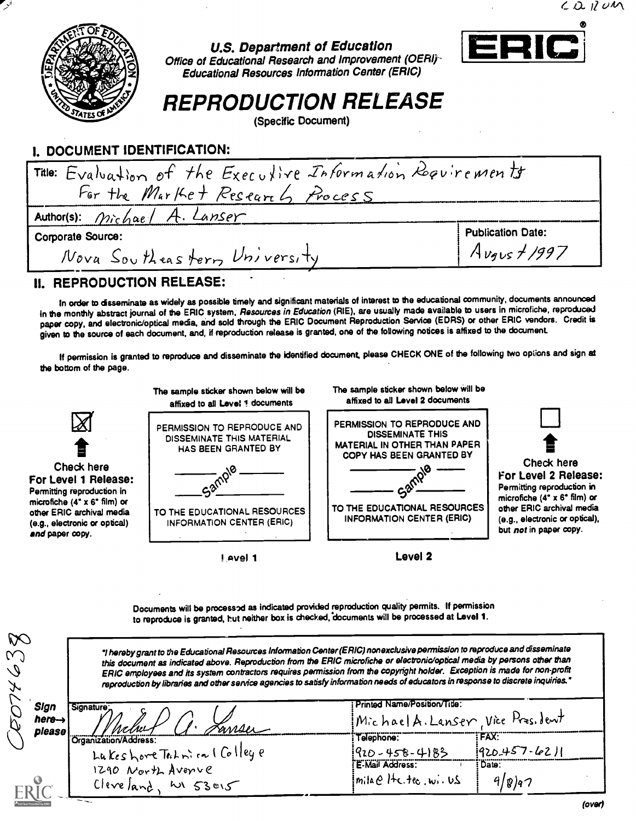

# U.S. Department of Education



Office of Educational Research and Improvement (OERI)-Educational Resources Information Center (ERIC)

REPRODUCTION RELEASE

(Specific Document)

## I. DOCUMENT IDENTIFICATION:

| Title: Evaluation of the Executive Information Requirements |                          |
|-------------------------------------------------------------|--------------------------|
| For the Market Research Process                             |                          |
| Author(s): Michael A. Lanser                                |                          |
| <b>Corporate Source:</b>                                    | <b>Publication Date:</b> |
| Nova Southeastern University                                | $A_{Vgus}$ + 1997        |

## II. REPRODUCTION RELEASE:

In order to disseminate as widely as possible timely and significant materials of interest to the educational community, documents announced in the monthly abstract journal of the ERIC system, Resources in Education (RIE), are usually made available to users in microfiche, reproduced paper copy, and electronic/optical media, and sold through the ERIC Document Reproduction Service (EDRS) or other ERIC vendors. Credit is given to the source of each document, and, if reproduction release is granted, one of the following notices is affixed to the document

If permission is granted to reproduce and disseminate the identified document, please CHECK ONE of the following two options and sign at the bottom of the page.



Documents will be processed as indicated provided reproduction quality permits. If permission to reproduce is granted, but neither box is checked, documents will be processed at Level 1.

| <b>PC</b><br>W)<br>$\mathcal Q$<br>Y | "I hereby grant to the Educational Resources Information Center (ERIC) nonexclusive permission to reproduce and disseminate<br>this document as indicated above. Reproduction from the ERIC microfiche or electronic/optical media by persons other than<br>ERIC employees and its system contractors requires permission from the copyright holder. Exception is made for non-profit<br>reproduction by libraries and other service agencies to satisfy information needs of educators in response to discrete inquiries." |                                                                    |                              |
|--------------------------------------|-----------------------------------------------------------------------------------------------------------------------------------------------------------------------------------------------------------------------------------------------------------------------------------------------------------------------------------------------------------------------------------------------------------------------------------------------------------------------------------------------------------------------------|--------------------------------------------------------------------|------------------------------|
| Sign<br>here-><br>piease             | <b>Signature</b><br>Janser                                                                                                                                                                                                                                                                                                                                                                                                                                                                                                  | Printed Name/Position/Title:<br>Michael A. Lanser, Vice Pres. Jent |                              |
|                                      | Organization/Address:                                                                                                                                                                                                                                                                                                                                                                                                                                                                                                       | Telephone:<br>$[920 - 458 - 4183]$                                 | ``FAX``<br>$1920.457 - 6211$ |
|                                      | LukeshoreTechnical Colleye<br>Cleveland, WI 53015                                                                                                                                                                                                                                                                                                                                                                                                                                                                           | E-Mail Address:<br>$imila e$ $He$ . tec. wi. U.S.                  | : Date:<br>9/g)q7            |